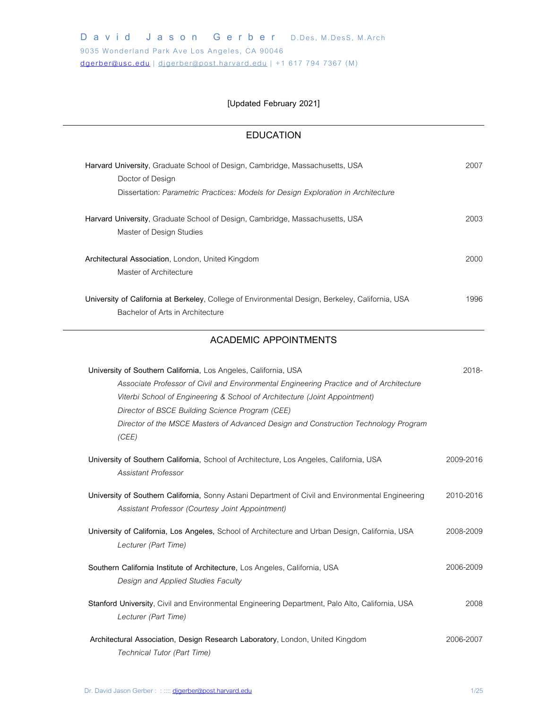# **[Updated February 2021]**

# **EDUCATION**

| Harvard University, Graduate School of Design, Cambridge, Massachusetts, USA<br>Doctor of Design                                                                                                                                                                                                                                                                                            | 2007      |
|---------------------------------------------------------------------------------------------------------------------------------------------------------------------------------------------------------------------------------------------------------------------------------------------------------------------------------------------------------------------------------------------|-----------|
| Dissertation: Parametric Practices: Models for Design Exploration in Architecture                                                                                                                                                                                                                                                                                                           |           |
| Harvard University, Graduate School of Design, Cambridge, Massachusetts, USA<br>Master of Design Studies                                                                                                                                                                                                                                                                                    | 2003      |
| Architectural Association, London, United Kingdom<br>Master of Architecture                                                                                                                                                                                                                                                                                                                 | 2000      |
| University of California at Berkeley, College of Environmental Design, Berkeley, California, USA<br>Bachelor of Arts in Architecture                                                                                                                                                                                                                                                        | 1996      |
| <b>ACADEMIC APPOINTMENTS</b>                                                                                                                                                                                                                                                                                                                                                                |           |
| University of Southern California, Los Angeles, California, USA<br>Associate Professor of Civil and Environmental Engineering Practice and of Architecture<br>Viterbi School of Engineering & School of Architecture (Joint Appointment)<br>Director of BSCE Building Science Program (CEE)<br>Director of the MSCE Masters of Advanced Design and Construction Technology Program<br>(CEE) | 2018-     |
| University of Southern California, School of Architecture, Los Angeles, California, USA<br><b>Assistant Professor</b>                                                                                                                                                                                                                                                                       | 2009-2016 |
| University of Southern California, Sonny Astani Department of Civil and Environmental Engineering<br>Assistant Professor (Courtesy Joint Appointment)                                                                                                                                                                                                                                       | 2010-2016 |
| University of California, Los Angeles, School of Architecture and Urban Design, California, USA<br>Lecturer (Part Time)                                                                                                                                                                                                                                                                     | 2008-2009 |
| Southern California Institute of Architecture, Los Angeles, California, USA<br>Design and Applied Studies Faculty                                                                                                                                                                                                                                                                           | 2006-2009 |
| Stanford University, Civil and Environmental Engineering Department, Palo Alto, California, USA<br>Lecturer (Part Time)                                                                                                                                                                                                                                                                     | 2008      |
| Architectural Association, Design Research Laboratory, London, United Kingdom<br>Technical Tutor (Part Time)                                                                                                                                                                                                                                                                                | 2006-2007 |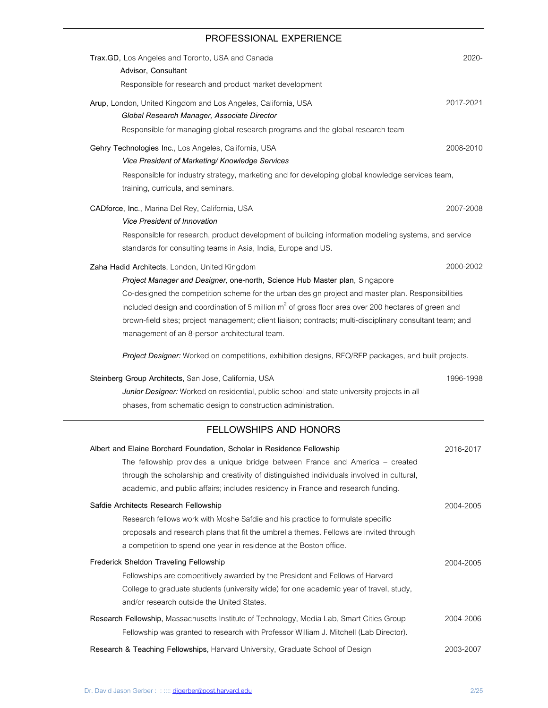# **PROFESSIONAL EXPERIENCE**

| Trax.GD, Los Angeles and Toronto, USA and Canada<br>Advisor, Consultant                                                                                                                                                                                                                                                                    | 2020-     |
|--------------------------------------------------------------------------------------------------------------------------------------------------------------------------------------------------------------------------------------------------------------------------------------------------------------------------------------------|-----------|
| Responsible for research and product market development                                                                                                                                                                                                                                                                                    |           |
| Arup, London, United Kingdom and Los Angeles, California, USA<br>Global Research Manager, Associate Director                                                                                                                                                                                                                               | 2017-2021 |
| Responsible for managing global research programs and the global research team                                                                                                                                                                                                                                                             |           |
| Gehry Technologies Inc., Los Angeles, California, USA<br>Vice President of Marketing/Knowledge Services                                                                                                                                                                                                                                    | 2008-2010 |
| Responsible for industry strategy, marketing and for developing global knowledge services team,<br>training, curricula, and seminars.                                                                                                                                                                                                      |           |
| CADforce, Inc., Marina Del Rey, California, USA<br><b>Vice President of Innovation</b>                                                                                                                                                                                                                                                     | 2007-2008 |
| Responsible for research, product development of building information modeling systems, and service<br>standards for consulting teams in Asia, India, Europe and US.                                                                                                                                                                       |           |
| Zaha Hadid Architects, London, United Kingdom<br>Project Manager and Designer, one-north, Science Hub Master plan, Singapore<br>Co-designed the competition scheme for the urban design project and master plan. Responsibilities<br>included design and coordination of 5 million $m2$ of gross floor area over 200 hectares of green and | 2000-2002 |
| brown-field sites; project management; client liaison; contracts; multi-disciplinary consultant team; and<br>management of an 8-person architectural team.                                                                                                                                                                                 |           |
| Project Designer: Worked on competitions, exhibition designs, RFQ/RFP packages, and built projects.                                                                                                                                                                                                                                        |           |
| Steinberg Group Architects, San Jose, California, USA<br>Junior Designer: Worked on residential, public school and state university projects in all<br>phases, from schematic design to construction administration.                                                                                                                       | 1996-1998 |
| FELLOWSHIPS AND HONORS                                                                                                                                                                                                                                                                                                                     |           |
| Albert and Elaine Borchard Foundation, Scholar in Residence Fellowship<br>The fellowship provides a unique bridge between France and America - created<br>through the scholarship and creativity of distinguished individuals involved in cultural,<br>academic, and public affairs; includes residency in France and research funding.    | 2016-2017 |
| Safdie Architects Research Fellowship<br>Research fellows work with Moshe Safdie and his practice to formulate specific<br>proposals and research plans that fit the umbrella themes. Fellows are invited through<br>a competition to spend one year in residence at the Boston office.                                                    | 2004-2005 |
| Frederick Sheldon Traveling Fellowship<br>Fellowships are competitively awarded by the President and Fellows of Harvard<br>College to graduate students (university wide) for one academic year of travel, study,<br>and/or research outside the United States.                                                                            | 2004-2005 |
| Research Fellowship, Massachusetts Institute of Technology, Media Lab, Smart Cities Group<br>Fellowship was granted to research with Professor William J. Mitchell (Lab Director).                                                                                                                                                         | 2004-2006 |
| Research & Teaching Fellowships, Harvard University, Graduate School of Design                                                                                                                                                                                                                                                             | 2003-2007 |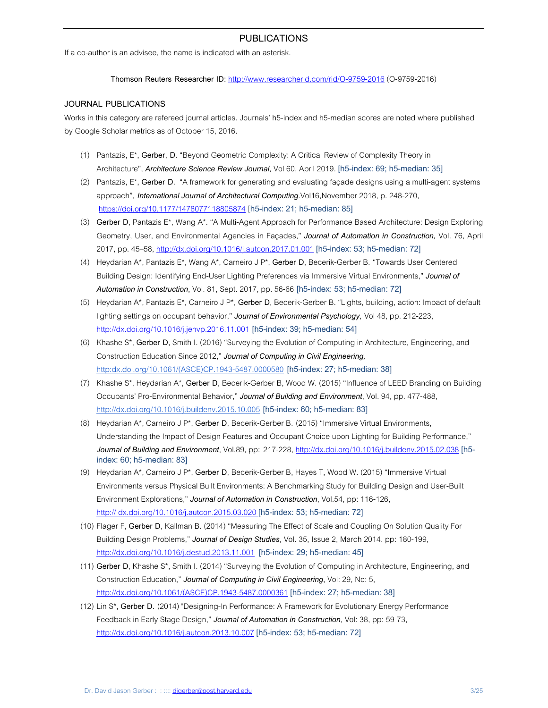## **PUBLICATIONS**

If a co-author is an advisee, the name is indicated with an asterisk.

**Thomson Reuters Researcher ID:** http://www.researcherid.com/rid/O-9759-2016 (O-9759-2016)

### **JOURNAL PUBLICATIONS**

Works in this category are refereed journal articles. Journals' h5-index and h5-median scores are noted where published by Google Scholar metrics as of October 15, 2016.

- (1) Pantazis, E\***, Gerber, D**. "Beyond Geometric Complexity: A Critical Review of Complexity Theory in Architecture", *Architecture Science Review Journal*, Vol 60, April 2019. [h5-index: 69; h5-median: 35]
- (2) Pantazis, E\***, Gerber D.** "A framework for generating and evaluating façade designs using a multi-agent systems approach", *International Journal of Architectural Computing*.Vol16,November 2018, p. 248-270, https://doi.org/10.1177/1478077118805874 [h5-index: 21; h5-median: 85]
- (3) **Gerber D**, Pantazis E\*, Wang A\*. "A Multi-Agent Approach for Performance Based Architecture: Design Exploring Geometry, User, and Environmental Agencies in Façades," *Journal of Automation in Construction,* Vol. 76, April 2017, pp. 45–58, http://dx.doi.org/10.1016/j.autcon.2017.01.001 [h5-index: 53; h5-median: 72]
- (4) Heydarian A\*, Pantazis E\*, Wang A\*, Carneiro J P\*, **Gerber D**, Becerik-Gerber B. "Towards User Centered Building Design: Identifying End-User Lighting Preferences via Immersive Virtual Environments," *Journal of Automation in Construction***,** Vol. 81, Sept. 2017, pp. 56-66 [h5-index: 53; h5-median: 72]
- (5) Heydarian A\*, Pantazis E\*, Carneiro J P\*, **Gerber D**, Becerik-Gerber B. "Lights, building, action: Impact of default lighting settings on occupant behavior," *Journal of Environmental Psychology,* Vol 48, pp. 212-223, http://dx.doi.org/10.1016/j.jenvp.2016.11.001 [h5-index: 39; h5-median: 54]
- (6) Khashe S\*, **Gerber D**, Smith I. (2016) "Surveying the Evolution of Computing in Architecture, Engineering, and Construction Education Since 2012," *Journal of Computing in Civil Engineering,*  http:dx.doi.org/10.1061/(ASCE)CP.1943-5487.0000580 [h5-index: 27; h5-median: 38]
- (7) Khashe S\*, Heydarian A\*, **Gerber D**, Becerik-Gerber B, Wood W. (2015) "Influence of LEED Branding on Building Occupants' Pro-Environmental Behavior," *Journal of Building and Environment***,** Vol. 94, pp. 477-488, http://dx.doi.org/10.1016/j.buildenv.2015.10.005 [h5-index: 60; h5-median: 83]
- (8) Heydarian A\*, Carneiro J P\*, **Gerber D**, Becerik-Gerber B. (2015) "Immersive Virtual Environments, Understanding the Impact of Design Features and Occupant Choice upon Lighting for Building Performance," *Journal of Building and Environment*, Vol.89, pp: 217-228, http://dx.doi.org/10.1016/j.buildenv.2015.02.038 [h5 index: 60; h5-median: 83]
- (9) Heydarian A\*, Carneiro J P\*, **Gerber D**, Becerik-Gerber B, Hayes T, Wood W. (2015) "Immersive Virtual Environments versus Physical Built Environments: A Benchmarking Study for Building Design and User-Built Environment Explorations," *Journal of Automation in Construction*, Vol.54, pp: 116-126, http:// dx.doi.org/10.1016/j.autcon.2015.03.020 [h5-index: 53; h5-median: 72]
- (10) Flager F, **Gerber D**, Kallman B. (2014) "Measuring The Effect of Scale and Coupling On Solution Quality For Building Design Problems," *Journal of Design Studies,* Vol. 35, Issue 2, March 2014. pp: 180-199, http://dx.doi.org/10.1016/j.destud.2013.11.001 [h5-index: 29; h5-median: 45]
- (11) **Gerber D**, Khashe S\*, Smith I. (2014) "Surveying the Evolution of Computing in Architecture, Engineering, and Construction Education," *Journal of Computing in Civil Engineering*, Vol: 29, No: 5, http://dx.doi.org/10.1061/(ASCE)CP.1943-5487.0000361 [h5-index: 27; h5-median: 38]
- (12) Lin S\*, **Gerber D.** (2014) "Designing-In Performance: A Framework for Evolutionary Energy Performance Feedback in Early Stage Design," *Journal of Automation in Construction*, Vol: 38, pp: 59-73, http://dx.doi.org/10.1016/j.autcon.2013.10.007 [h5-index: 53; h5-median: 72]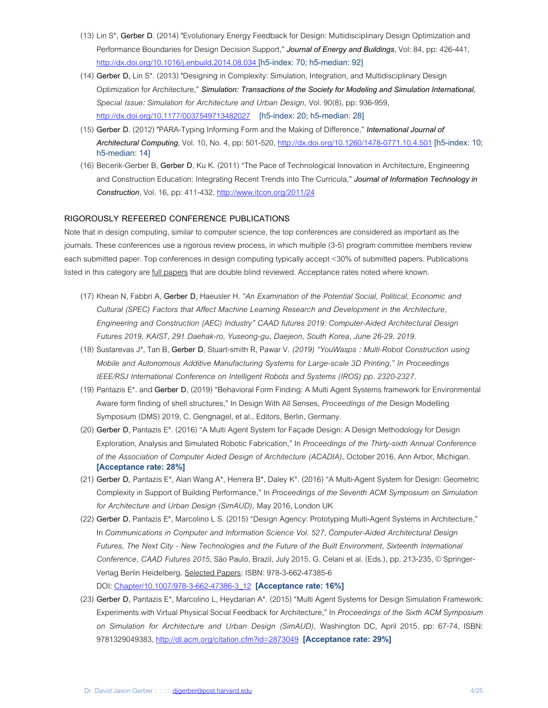- (13) Lin S\*, **Gerber D**. (2014) "Evolutionary Energy Feedback for Design: Multidisciplinary Design Optimization and Performance Boundaries for Design Decision Support," *Journal of Energy and Buildings*, Vol: 84, pp: 426-441, http://dx.doi.org/10.1016/j.enbuild.2014.08.034 [h5-index: 70; h5-median: 92]
- (14) **Gerber D,** Lin S\*. (2013) "Designing in Complexity: Simulation, Integration, and Multidisciplinary Design Optimization for Architecture," *Simulation: Transactions of the Society for Modeling and Simulation International, Special Issue: Simulation for Architecture and Urban Design,* Vol. 90(8), pp: 936-959, http://dx.doi.org/10.1177/0037549713482027 [h5-index: 20; h5-median: 28]
- (15) **Gerber D.** (2012) "PARA-Typing Informing Form and the Making of Difference," *International Journal of Architectural Computing*, Vol. 10, No. 4, pp: 501-520, http://dx.doi.org/10.1260/1478-0771.10.4.501 [h5-index: 10; h5-median: 14]
- (16) Becerik-Gerber B, **Gerber D**, Ku K. (2011) "The Pace of Technological Innovation in Architecture, Engineering and Construction Education: Integrating Recent Trends into The Curricula," *Journal of Information Technology in Construction,* Vol. 16, pp: 411-432, http://www.itcon.org/2011/24

# **RIGOROUSLY REFEERED CONFERENCE PUBLICATIONS**

Note that in design computing, similar to computer science, the top conferences are considered as important as the journals. These conferences use a rigorous review process, in which multiple (3-5) program committee members review each submitted paper. Top conferences in design computing typically accept <30% of submitted papers. Publications listed in this category are full papers that are double blind reviewed. Acceptance rates noted where known.

- (17) Khean N, Fabbri A, **Gerber D**, Haeusler H. *"An Examination of the Potential Social, Political, Economic and Cultural (SPEC) Factors that Affect Machine Learning Research and Development in the Architecture, Engineering and Construction (AEC) Industry" CAAD futures 2019: Computer-Aided Architectural Design Futures 2019, KAIST, 291 Daehak-ro, Yuseong-gu, Daejeon, South Korea, June 26-29, 2019.*
- (18) Sustarevas J\*, Tan B, **Gerber D**, Stuart-smith R, Pawar V. *(2019) "YouWasps : Multi-Robot Construction using Mobile and Autonomous Additive Manufacturing Systems for Large-scale 3D Printing," In Proceedings IEEE/RSJ International Conference on Intelligent Robots and Systems (IROS) pp. 2320-2327.*
- (19) Pantazis E\*. and **Gerber D**, (2019) "Behavioral Form Finding: A Multi Agent Systems framework for Environmental Aware form finding of shell structures," In Design With All Senses, *Proceedings of the* Design Modelling Symposium (DMS) 2019, C. Gengnagel, et al., Editors, Berlin, Germany.
- (20) **Gerber D**, Pantazis E\*. (2016) "A Multi Agent System for Façade Design: A Design Methodology for Design Exploration, Analysis and Simulated Robotic Fabrication," In *Proceedings of the Thirty-sixth Annual Conference of the Association of Computer Aided Design of Architecture (ACADIA),* October 2016, Ann Arbor, Michigan. **[Acceptance rate: 28%]**
- (21) **Gerber D,** Pantazis E\*, Alan Wang A\*, Herrera B\*, Daley K\*. (2016) "A Multi-Agent System for Design: Geometric Complexity in Support of Building Performance," In *Proceedings of the Seventh ACM Symposium on Simulation for Architecture and Urban Design (SimAUD),* May 2016, London UK
- (22) **Gerber D**, Pantazis E\*, Marcolino L S. (2015) "Design Agency: Prototyping Multi-Agent Systems in Architecture," In *Communications in Computer and Information Science Vol. 527, Computer-Aided Architectural Design Futures, The Next City - New Technologies and the Future of the Built Environment, Sixteenth International Conference, CAAD Futures 2015*, São Paulo, Brazil, July 2015. G. Celani et al. (Eds.), pp. 213-235, © Springer-Verlag Berlin Heidelberg. Selected Papers: ISBN: 978-3-662-47385-6 DOI: Chapter/10.1007/978-3-662-47386-3\_12 **[Acceptance rate: 16%]**
- (23) **Gerber D,** Pantazis E\*, Marcolino L, Heydarian A\*. (2015) "Multi Agent Systems for Design Simulation Framework: Experiments with Virtual Physical Social Feedback for Architecture," In *Proceedings of the Sixth ACM Symposium on Simulation for Architecture and Urban Design (SimAUD),* Washington DC, April 2015. pp: 67-74, ISBN: 9781329049383, http://dl.acm.org/citation.cfm?id=2873049 **[Acceptance rate: 29%]**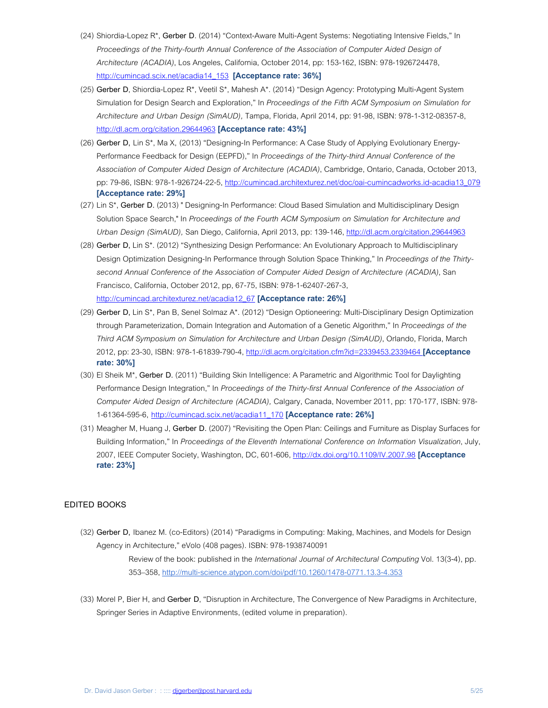- (24) Shiordia-Lopez R\*, **Gerber D**. (2014) "Context-Aware Multi-Agent Systems: Negotiating Intensive Fields," In *Proceedings of the Thirty-fourth Annual Conference of the Association of Computer Aided Design of Architecture (ACADIA)*, Los Angeles, California, October 2014, pp: 153-162, ISBN: 978-1926724478, http://cumincad.scix.net/acadia14\_153 **[Acceptance rate: 36%]**
- (25) **Gerber D**, Shiordia-Lopez R\*, Veetil S\*, Mahesh A\*. (2014) "Design Agency: Prototyping Multi-Agent System Simulation for Design Search and Exploration," In *Proceedings of the Fifth ACM Symposium on Simulation for Architecture and Urban Design (SimAUD),* Tampa, Florida, April 2014, pp: 91-98, ISBN: 978-1-312-08357-8, http://dl.acm.org/citation.29644963 **[Acceptance rate: 43%]**
- (26) **Gerber D,** Lin S\*, Ma X, (2013) "Designing-In Performance: A Case Study of Applying Evolutionary Energy-Performance Feedback for Design (EEPFD)," In *Proceedings of the Thirty-third Annual Conference of the Association of Computer Aided Design of Architecture (ACADIA)*, Cambridge, Ontario, Canada, October 2013, pp: 79-86, ISBN: 978-1-926724-22-5, http://cumincad.architexturez.net/doc/oai-cumincadworks.id-acadia13\_079 **[Acceptance rate: 29%]**
- (27) Lin S\*, **Gerber D.** (2013) " Designing-In Performance: Cloud Based Simulation and Multidisciplinary Design Solution Space Search," In *Proceedings of the Fourth ACM Symposium on Simulation for Architecture and Urban Design (SimAUD),* San Diego, California, April 2013, pp: 139-146, http://dl.acm.org/citation.29644963
- (28) **Gerber D,** Lin S\*. (2012) "Synthesizing Design Performance: An Evolutionary Approach to Multidisciplinary Design Optimization Designing-In Performance through Solution Space Thinking," In *Proceedings of the Thirtysecond Annual Conference of the Association of Computer Aided Design of Architecture (ACADIA)*, San Francisco, California, October 2012, pp, 67-75, ISBN: 978-1-62407-267-3, http://cumincad.architexturez.net/acadia12\_67 **[Acceptance rate: 26%]**
- (29) **Gerber D,** Lin S\*, Pan B, Senel Solmaz A\*. (2012) "Design Optioneering: Multi-Disciplinary Design Optimization through Parameterization, Domain Integration and Automation of a Genetic Algorithm," In *Proceedings of the Third ACM Symposium on Simulation for Architecture and Urban Design (SimAUD)*, Orlando, Florida, March 2012, pp: 23-30, ISBN: 978-1-61839-790-4, http://dl.acm.org/citation.cfm?id=2339453.2339464 **[Acceptance rate: 30%]**
- (30) El Sheik M\*, **Gerber D.** (2011) "Building Skin Intelligence: A Parametric and Algorithmic Tool for Daylighting Performance Design Integration," In *Proceedings of the Thirty-first Annual Conference of the Association of Computer Aided Design of Architecture (ACADIA),* Calgary, Canada, November 2011, pp: 170-177, ISBN: 978- 1-61364-595-6, http://cumincad.scix.net/acadia11\_170 **[Acceptance rate: 26%]**
- (31) Meagher M, Huang J, **Gerber D.** (2007) "Revisiting the Open Plan: Ceilings and Furniture as Display Surfaces for Building Information," In *Proceedings of the Eleventh International Conference on Information Visualization*, July, 2007, IEEE Computer Society, Washington, DC, 601-606, http://dx.doi.org/10.1109/IV.2007.98 **[Acceptance rate: 23%]**

### **EDITED BOOKS**

- (32) **Gerber D,** Ibanez M. (co-Editors) (2014) "Paradigms in Computing: Making, Machines, and Models for Design Agency in Architecture," eVolo (408 pages). ISBN: 978-1938740091 Review of the book: published in the *International Journal of Architectural Computing* Vol. 13(3-4), pp. 353–358, http://multi-science.atypon.com/doi/pdf/10.1260/1478-0771.13.3-4.353
- (33) Morel P, Bier H, and **Gerber D**, "Disruption in Architecture, The Convergence of New Paradigms in Architecture, Springer Series in Adaptive Environments, (edited volume in preparation).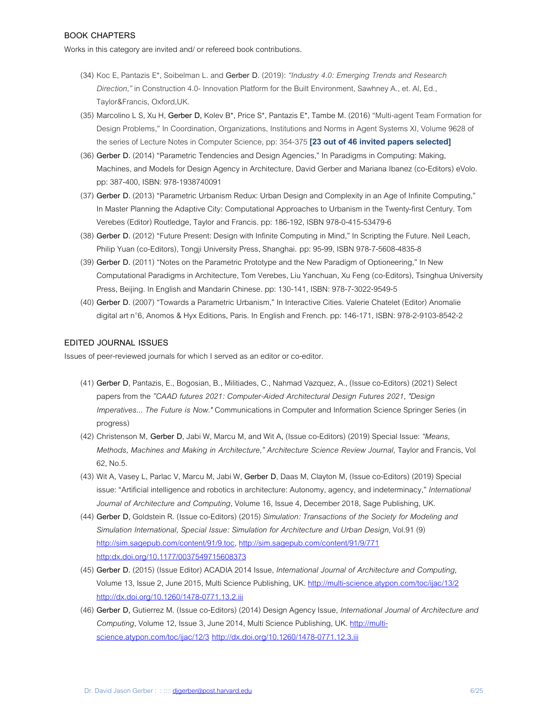# **BOOK CHAPTERS**

Works in this category are invited and/ or refereed book contributions.

- (34) Koc E, Pantazis E\*, Soibelman L. and **Gerber D.** (2019): *"Industry 4.0: Emerging Trends and Research Direction,"* in Construction 4.0- Innovation Platform for the Built Environment, Sawhney A., et. Al, Ed., Taylor&Francis, Oxford,UK.
- (35) Marcolino L S, Xu H, **Gerber D,** Kolev B\*, Price S\*, Pantazis E\*, Tambe M. (2016) "Multi-agent Team Formation for Design Problems," In Coordination, Organizations, Institutions and Norms in Agent Systems XI, Volume 9628 of the series of Lecture Notes in Computer Science, pp: 354-375 **[23 out of 46 invited papers selected]**
- (36) **Gerber D.** (2014) "Parametric Tendencies and Design Agencies," In Paradigms in Computing: Making, Machines, and Models for Design Agency in Architecture, David Gerber and Mariana Ibanez (co-Editors) eVolo. pp: 387-400, ISBN: 978-1938740091
- (37) **Gerber D.** (2013) "Parametric Urbanism Redux: Urban Design and Complexity in an Age of Infinite Computing," In Master Planning the Adaptive City: Computational Approaches to Urbanism in the Twenty-first Century. Tom Verebes (Editor) Routledge, Taylor and Francis. pp: 186-192, ISBN 978-0-415-53479-6
- (38) **Gerber D.** (2012) "Future Present: Design with Infinite Computing in Mind," In Scripting the Future. Neil Leach, Philip Yuan (co-Editors), Tongji University Press, Shanghai. pp: 95-99, ISBN 978-7-5608-4835-8
- (39) **Gerber D.** (2011) "Notes on the Parametric Prototype and the New Paradigm of Optioneering," In New Computational Paradigms in Architecture, Tom Verebes, Liu Yanchuan, Xu Feng (co-Editors), Tsinghua University Press, Beijing. In English and Mandarin Chinese. pp: 130-141, ISBN: 978-7-3022-9549-5
- (40) **Gerber D**. (2007) "Towards a Parametric Urbanism," In Interactive Cities. Valerie Chatelet (Editor) Anomalie digital art n°6, Anomos & Hyx Editions, Paris. In English and French. pp: 146-171, ISBN: 978-2-9103-8542-2

### **EDITED JOURNAL ISSUES**

Issues of peer-reviewed journals for which I served as an editor or co-editor.

- (41) **Gerber D**, Pantazis, E., Bogosian, B., Militiades, C., Nahmad Vazquez, A., (Issue co-Editors) (2021) Select papers from the *"CAAD futures 2021: Computer-Aided Architectural Design Futures 2021, "Design Imperatives... The Future is Now."* Communications in Computer and Information Science Springer Series (in progress)
- (42) Christenson M, **Gerber D**, Jabi W, Marcu M, and Wit A**,** (Issue co-Editors) (2019) Special Issue: *"Means, Methods, Machines and Making in Architecture," Architecture Science Review Journal,* Taylor and Francis, Vol 62, No.5.
- (43) Wit A, Vasey L, Parlac V, Marcu M, Jabi W, **Gerber D**, Daas M, Clayton M, (Issue co-Editors) (2019) Special issue: "Artificial intelligence and robotics in architecture: Autonomy, agency, and indeterminacy," *International Journal of Architecture and Computing*, Volume 16, Issue 4, December 2018, Sage Publishing, UK.
- (44) **Gerber D**, Goldstein R. (Issue co-Editors) (2015) *Simulation: Transactions of the Society for Modeling and Simulation International, Special Issue: Simulation for Architecture and Urban Design*, Vol.91 (9) http://sim.sagepub.com/content/91/9.toc, http://sim.sagepub.com/content/91/9/771 http:dx.doi.org/10.1177/0037549715608373
- (45) **Gerber D.** (2015) (Issue Editor) ACADIA 2014 Issue, *International Journal of Architecture and Computing*, Volume 13, Issue 2, June 2015, Multi Science Publishing, UK. http://multi-science.atypon.com/toc/ijac/13/2 http://dx.doi.org/10.1260/1478-0771.13.2.iii
- (46) **Gerber D,** Gutierrez M. (Issue co-Editors) (2014) Design Agency Issue, *International Journal of Architecture and Computing*, Volume 12, Issue 3, June 2014, Multi Science Publishing, UK. http://multiscience.atypon.com/toc/ijac/12/3 http://dx.doi.org/10.1260/1478-0771.12.3.iii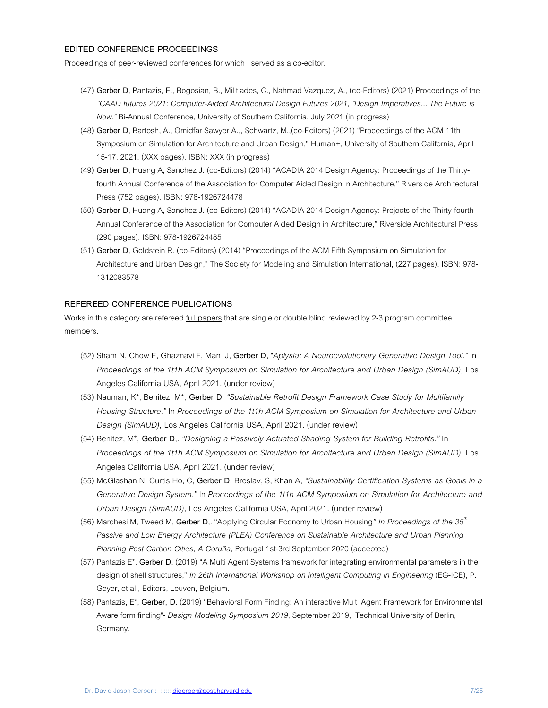### **EDITED CONFERENCE PROCEEDINGS**

Proceedings of peer-reviewed conferences for which I served as a co-editor.

- (47) **Gerber D**, Pantazis, E., Bogosian, B., Militiades, C., Nahmad Vazquez, A., (co-Editors) (2021) Proceedings of the *"CAAD futures 2021: Computer-Aided Architectural Design Futures 2021, "Design Imperatives... The Future is Now."* Bi-Annual Conference, University of Southern California, July 2021 (in progress)
- (48) **Gerber D**, Bartosh, A., Omidfar Sawyer A.,, Schwartz, M.,(co-Editors) (2021) "Proceedings of the ACM 11th Symposium on Simulation for Architecture and Urban Design," Human+, University of Southern California, April 15-17, 2021. (XXX pages). ISBN: XXX (in progress)
- (49) **Gerber D**, Huang A, Sanchez J. (co-Editors) (2014) "ACADIA 2014 Design Agency: Proceedings of the Thirtyfourth Annual Conference of the Association for Computer Aided Design in Architecture," Riverside Architectural Press (752 pages). ISBN: 978-1926724478
- (50) **Gerber D**, Huang A, Sanchez J. (co-Editors) (2014) "ACADIA 2014 Design Agency: Projects of the Thirty-fourth Annual Conference of the Association for Computer Aided Design in Architecture," Riverside Architectural Press (290 pages). ISBN: 978-1926724485
- (51) **Gerber D**, Goldstein R. (co-Editors) (2014) "Proceedings of the ACM Fifth Symposium on Simulation for Architecture and Urban Design," The Society for Modeling and Simulation International, (227 pages). ISBN: 978- 1312083578

### **REFEREED CONFERENCE PUBLICATIONS**

Works in this category are refereed *full papers* that are single or double blind reviewed by 2-3 program committee members.

- (52) Sham N, Chow E, Ghaznavi F, Man J, **Gerber D**, "*Aplysia: A Neuroevolutionary Generative Design Tool."* In *Proceedings of the 1t1h ACM Symposium on Simulation for Architecture and Urban Design (SimAUD),* Los Angeles California USA, April 2021. (under review)
- (53) Nauman, K\*, Benitez, M\*, **Gerber D**, *"Sustainable Retrofit Design Framework Case Study for Multifamily Housing Structure."* In *Proceedings of the 1t1h ACM Symposium on Simulation for Architecture and Urban Design (SimAUD),* Los Angeles California USA, April 2021. (under review)
- (54) Benitez, M\*, **Gerber D**,. *"Designing a Passively Actuated Shading System for Building Retrofits."* In *Proceedings of the 1t1h ACM Symposium on Simulation for Architecture and Urban Design (SimAUD),* Los Angeles California USA, April 2021. (under review)
- (55) McGlashan N, Curtis Ho, C, **Gerber D,** Breslav, S, Khan A, *"Sustainability Certification Systems as Goals in a Generative Design System."* In *Proceedings of the 1t1h ACM Symposium on Simulation for Architecture and Urban Design (SimAUD),* Los Angeles California USA, April 2021. (under review)
- (56) Marchesi M, Tweed M, **Gerber D**,. "Applying Circular Economy to Urban Housing*" In Proceedings of the 35th* Passive and Low Energy Architecture (PLEA) Conference on Sustainable Architecture and Urban Planning *Planning Post Carbon Cities, A Coruña,* Portugal 1st-3rd September 2020 (accepted)
- (57) Pantazis E\*, **Gerber D**, (2019) "A Multi Agent Systems framework for integrating environmental parameters in the design of shell structures," *In 26th International Workshop on intelligent Computing in Engineering* (EG-ICE), P. Geyer, et al., Editors, Leuven, Belgium.
- (58) Pantazis, E\*, **Gerber, D**. (2019) "Behavioral Form Finding: An interactive Multi Agent Framework for Environmental Aware form finding"- *Design Modeling Symposium 2019*, September 2019, Technical University of Berlin, Germany.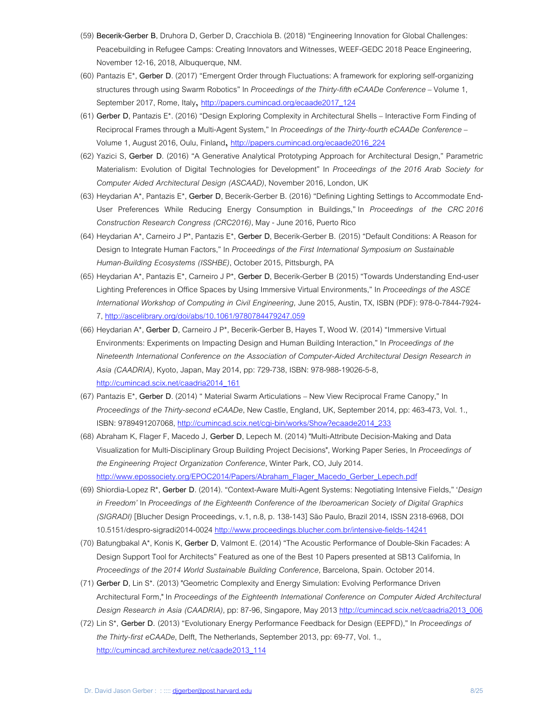- (59) **Becerik-Gerber B**, Druhora D, Gerber D, Cracchiola B. (2018) "Engineering Innovation for Global Challenges: Peacebuilding in Refugee Camps: Creating Innovators and Witnesses, WEEF-GEDC 2018 Peace Engineering, November 12-16, 2018, Albuquerque, NM.
- (60) Pantazis E\*, **Gerber D**. (2017) "Emergent Order through Fluctuations: A framework for exploring self-organizing structures through using Swarm Robotics" In *Proceedings of the Thirty-fifth eCAADe Conference* – Volume 1, September 2017, Rome, Italy, http://papers.cumincad.org/ecaade2017\_124
- (61) **Gerber D**, Pantazis E\*. (2016) "Design Exploring Complexity in Architectural Shells Interactive Form Finding of Reciprocal Frames through a Multi-Agent System," In *Proceedings of the Thirty-fourth eCAADe Conference* – Volume 1, August 2016, Oulu, Finland, http://papers.cumincad.org/ecaade2016\_224
- (62) Yazici S, **Gerber D**. (2016) "A Generative Analytical Prototyping Approach for Architectural Design," Parametric Materialism: Evolution of Digital Technologies for Development" In *Proceedings of the 2016 Arab Society for Computer Aided Architectural Design (ASCAAD)*, November 2016, London, UK
- (63) Heydarian A\*, Pantazis E\*, **Gerber D**, Becerik-Gerber B. (2016) "Defining Lighting Settings to Accommodate End-User Preferences While Reducing Energy Consumption in Buildings," In *Proceedings of the CRC 2016 Construction Research Congress (CRC2016)*, May - June 2016, Puerto Rico
- (64) Heydarian A\*, Carneiro J P\*, Pantazis E\*, **Gerber D**, Becerik-Gerber B. (2015) "Default Conditions: A Reason for Design to Integrate Human Factors," In *Proceedings of the First International Symposium on Sustainable Human-Building Ecosystems (ISSHBE)*, October 2015, Pittsburgh, PA
- (65) Heydarian A\*, Pantazis E\*, Carneiro J P\*, **Gerber D**, Becerik-Gerber B (2015) "Towards Understanding End-user Lighting Preferences in Office Spaces by Using Immersive Virtual Environments," In *Proceedings of the ASCE International Workshop of Computing in Civil Engineering,* June 2015, Austin, TX, ISBN (PDF): 978-0-7844-7924- 7, http://ascelibrary.org/doi/abs/10.1061/9780784479247.059
- (66) Heydarian A\*, **Gerber D**, Carneiro J P\*, Becerik-Gerber B, Hayes T, Wood W. (2014) "Immersive Virtual Environments: Experiments on Impacting Design and Human Building Interaction," In *Proceedings of the Nineteenth International Conference on the Association of Computer-Aided Architectural Design Research in Asia (CAADRIA)*, Kyoto, Japan, May 2014, pp: 729-738, ISBN: 978-988-19026-5-8, http://cumincad.scix.net/caadria2014\_161
- (67) Pantazis E\*, **Gerber D**. (2014) " Material Swarm Articulations New View Reciprocal Frame Canopy," In *Proceedings of the Thirty-second eCAADe*, New Castle, England, UK, September 2014, pp: 463-473, Vol. 1., ISBN: 9789491207068, http://cumincad.scix.net/cgi-bin/works/Show?ecaade2014\_233
- (68) Abraham K, Flager F, Macedo J, **Gerber D**, Lepech M. (2014) "Multi-Attribute Decision-Making and Data Visualization for Multi-Disciplinary Group Building Project Decisions", Working Paper Series, In *Proceedings of the Engineering Project Organization Conference*, Winter Park, CO, July 2014. http://www.epossociety.org/EPOC2014/Papers/Abraham\_Flager\_Macedo\_Gerber\_Lepech.pdf
- (69) Shiordia-Lopez R\*, **Gerber D**. (2014). "Context-Aware Multi-Agent Systems: Negotiating Intensive Fields," '*Design in Freedom'* In *Proceedings of the Eighteenth Conference of the Iberoamerican Society of Digital Graphics (SIGRADI)* [Blucher Design Proceedings, v.1, n.8, p. 138-143] São Paulo, Brazil 2014, ISSN 2318-6968, DOI 10.5151/despro-sigradi2014-0024 http://www.proceedings.blucher.com.br/intensive-fields-14241
- (70) Batungbakal A\*, Konis K, **Gerber D**, Valmont E. (2014) "The Acoustic Performance of Double-Skin Facades: A Design Support Tool for Architects" Featured as one of the Best 10 Papers presented at SB13 California, In *Proceedings of the 2014 World Sustainable Building Conference,* Barcelona, Spain. October 2014.
- (71) **Gerber D**, Lin S\*. (2013) "Geometric Complexity and Energy Simulation: Evolving Performance Driven Architectural Form," In *Proceedings of the Eighteenth International Conference on Computer Aided Architectural Design Research in Asia (CAADRIA)*, pp: 87-96, Singapore, May 2013 http://cumincad.scix.net/caadria2013\_006
- (72) Lin S\*, **Gerber D.** (2013) "Evolutionary Energy Performance Feedback for Design (EEPFD)," In *Proceedings of the Thirty-first eCAADe*, Delft, The Netherlands, September 2013, pp: 69-77, Vol. 1., http://cumincad.architexturez.net/caade2013\_114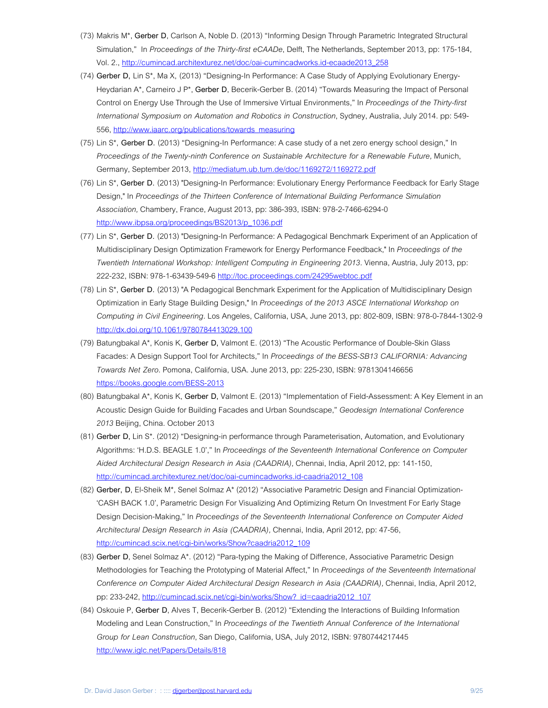- (73) Makris M\*, **Gerber D**, Carlson A, Noble D. (2013) "Informing Design Through Parametric Integrated Structural Simulation," In *Proceedings of the Thirty-first eCAADe*, Delft, The Netherlands, September 2013, pp: 175-184, Vol. 2., http://cumincad.architexturez.net/doc/oai-cumincadworks.id-ecaade2013\_258
- (74) **Gerber D,** Lin S\*, Ma X, (2013) "Designing-In Performance: A Case Study of Applying Evolutionary Energy-Heydarian A\*, Carneiro J P\*, **Gerber D**, Becerik-Gerber B. (2014) "Towards Measuring the Impact of Personal Control on Energy Use Through the Use of Immersive Virtual Environments," In *Proceedings of the Thirty-first International Symposium on Automation and Robotics in Construction*, Sydney, Australia, July 2014. pp: 549- 556, http://www.iaarc.org/publications/towards\_measuring
- (75) Lin S\*, **Gerber D.** (2013) "Designing-In Performance: A case study of a net zero energy school design," In *Proceedings of the Twenty-ninth Conference on Sustainable Architecture for a Renewable Future,* Munich, Germany, September 2013, http://mediatum.ub.tum.de/doc/1169272/1169272.pdf
- (76) Lin S\*, **Gerber D.** (2013) "Designing-In Performance: Evolutionary Energy Performance Feedback for Early Stage Design," In *Proceedings of the Thirteen Conference of International Building Performance Simulation Association,* Chambery, France, August 2013, pp: 386-393, ISBN: 978-2-7466-6294-0 http://www.ibpsa.org/proceedings/BS2013/p\_1036.pdf
- (77) Lin S\*, **Gerber D.** (2013) "Designing-In Performance: A Pedagogical Benchmark Experiment of an Application of Multidisciplinary Design Optimization Framework for Energy Performance Feedback," In *Proceedings of the Twentieth International Workshop: Intelligent Computing in Engineering 2013*. Vienna, Austria, July 2013, pp: 222-232, ISBN: 978-1-63439-549-6 http://toc.proceedings.com/24295webtoc.pdf
- (78) Lin S\*, **Gerber D.** (2013) "A Pedagogical Benchmark Experiment for the Application of Multidisciplinary Design Optimization in Early Stage Building Design," In *Proceedings of the 2013 ASCE International Workshop on Computing in Civil Engineering*. Los Angeles, California, USA, June 2013, pp: 802-809, ISBN: 978-0-7844-1302-9 http://dx.doi.org/10.1061/9780784413029.100
- (79) Batungbakal A\*, Konis K, **Gerber D,** Valmont E. (2013) "The Acoustic Performance of Double-Skin Glass Facades: A Design Support Tool for Architects," In *Proceedings of the BESS-SB13 CALIFORNIA: Advancing Towards Net Zero*. Pomona, California, USA. June 2013, pp: 225-230, ISBN: 9781304146656 https://books.google.com/BESS-2013
- (80) Batungbakal A\*, Konis K, **Gerber D,** Valmont E. (2013) "Implementation of Field-Assessment: A Key Element in an Acoustic Design Guide for Building Facades and Urban Soundscape," *Geodesign International Conference 2013* Beijing, China. October 2013
- (81) **Gerber D,** Lin S\*. (2012) "Designing-in performance through Parameterisation, Automation, and Evolutionary Algorithms: 'H.D.S. BEAGLE 1.0'," In *Proceedings of the Seventeenth International Conference on Computer Aided Architectural Design Research in Asia (CAADRIA),* Chennai, India, April 2012, pp: 141-150, http://cumincad.architexturez.net/doc/oai-cumincadworks.id-caadria2012\_108
- (82) **Gerber, D**, El-Sheik M\*, Senel Solmaz A\* (2012) "Associative Parametric Design and Financial Optimization- 'CASH BACK 1.0', Parametric Design For Visualizing And Optimizing Return On Investment For Early Stage Design Decision-Making," In *Proceedings of the Seventeenth International Conference on Computer Aided Architectural Design Research in Asia (CAADRIA),* Chennai, India, April 2012, pp: 47-56, http://cumincad.scix.net/cgi-bin/works/Show?caadria2012\_109
- (83) **Gerber D**, Senel Solmaz A\*. (2012) "Para-typing the Making of Difference, Associative Parametric Design Methodologies for Teaching the Prototyping of Material Affect," In *Proceedings of the Seventeenth International Conference on Computer Aided Architectural Design Research in Asia (CAADRIA),* Chennai, India, April 2012, pp: 233-242, http://cumincad.scix.net/cgi-bin/works/Show?\_id=caadria2012\_107
- (84) Oskouie P, **Gerber D**, Alves T, Becerik-Gerber B. (2012) "Extending the Interactions of Building Information Modeling and Lean Construction," In *Proceedings of the Twentieth Annual Conference of the International Group for Lean Construction*, San Diego, California, USA, July 2012, ISBN: 9780744217445 http://www.iglc.net/Papers/Details/818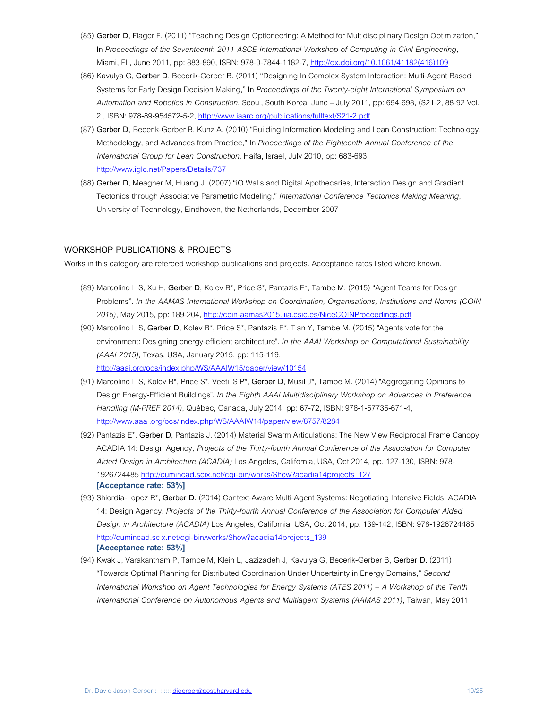- (85) **Gerber D**, Flager F. (2011) "Teaching Design Optioneering: A Method for Multidisciplinary Design Optimization," In *Proceedings of the Seventeenth 2011 ASCE International Workshop of Computing in Civil Engineering,* Miami, FL, June 2011, pp: 883-890, ISBN: 978-0-7844-1182-7, http://dx.doi.org/10.1061/41182(416)109
- (86) Kavulya G, **Gerber D**, Becerik-Gerber B. (2011) "Designing In Complex System Interaction: Multi-Agent Based Systems for Early Design Decision Making," In *Proceedings of the Twenty-eight International Symposium on Automation and Robotics in Construction*, Seoul, South Korea, June – July 2011, pp: 694-698, (S21-2, 88-92 Vol. 2., ISBN: 978-89-954572-5-2, http://www.iaarc.org/publications/fulltext/S21-2.pdf
- (87) **Gerber D,** Becerik-Gerber B, Kunz A. (2010) "Building Information Modeling and Lean Construction: Technology, Methodology, and Advances from Practice," In *Proceedings of the Eighteenth Annual Conference of the International Group for Lean Construction,* Haifa, Israel, July 2010, pp: 683-693, http://www.iglc.net/Papers/Details/737
- (88) **Gerber D**, Meagher M, Huang J. (2007) "iO Walls and Digital Apothecaries, Interaction Design and Gradient Tectonics through Associative Parametric Modeling," *International Conference Tectonics Making Meaning*, University of Technology, Eindhoven, the Netherlands, December 2007

### **WORKSHOP PUBLICATIONS & PROJECTS**

Works in this category are refereed workshop publications and projects. Acceptance rates listed where known.

- (89) Marcolino L S, Xu H, **Gerber D,** Kolev B\*, Price S\*, Pantazis E\*, Tambe M. (2015) "Agent Teams for Design Problems". *In the AAMAS International Workshop on Coordination, Organisations, Institutions and Norms (COIN 2015)*, May 2015, pp: 189-204, http://coin-aamas2015.iiia.csic.es/NiceCOINProceedings.pdf
- (90) Marcolino L S, **Gerber D**, Kolev B\*, Price S\*, Pantazis E\*, Tian Y, Tambe M. (2015) "Agents vote for the environment: Designing energy-efficient architecture". *In the AAAI Workshop on Computational Sustainability (AAAI 2015)*, Texas, USA, January 2015, pp: 115-119, http://aaai.org/ocs/index.php/WS/AAAIW15/paper/view/10154
- (91) Marcolino L S, Kolev B\*, Price S\*, Veetil S P\*, **Gerber D**, Musil J\*, Tambe M. (2014) "Aggregating Opinions to Design Energy-Efficient Buildings". *In the Eighth AAAI Multidisciplinary Workshop on Advances in Preference Handling (M-PREF 2014)*, Québec, Canada, July 2014, pp: 67-72, ISBN: 978-1-57735-671-4, http://www.aaai.org/ocs/index.php/WS/AAAIW14/paper/view/8757/8284
- (92) Pantazis E\*, **Gerber D,** Pantazis J. (2014) Material Swarm Articulations: The New View Reciprocal Frame Canopy, ACADIA 14: Design Agency*, Projects of the Thirty-fourth Annual Conference of the Association for Computer Aided Design in Architecture (ACADIA)* Los Angeles, California, USA, Oct 2014, pp. 127-130, ISBN: 978- 1926724485 http://cumincad.scix.net/cgi-bin/works/Show?acadia14projects\_127 **[Acceptance rate: 53%]**
- (93) Shiordia-Lopez R\*, **Gerber D.** (2014) Context-Aware Multi-Agent Systems: Negotiating Intensive Fields, ACADIA 14: Design Agency, *Projects of the Thirty-fourth Annual Conference of the Association for Computer Aided Design in Architecture (ACADIA)* Los Angeles, California, USA, Oct 2014, pp. 139-142, ISBN: 978-1926724485 http://cumincad.scix.net/cgi-bin/works/Show?acadia14projects\_139 **[Acceptance rate: 53%]**
- (94) Kwak J, Varakantham P, Tambe M, Klein L, Jazizadeh J, Kavulya G, Becerik-Gerber B, **Gerber D**. (2011) "Towards Optimal Planning for Distributed Coordination Under Uncertainty in Energy Domains," *Second International Workshop on Agent Technologies for Energy Systems (ATES 2011) – A Workshop of the Tenth International Conference on Autonomous Agents and Multiagent Systems (AAMAS 2011)*, Taiwan, May 2011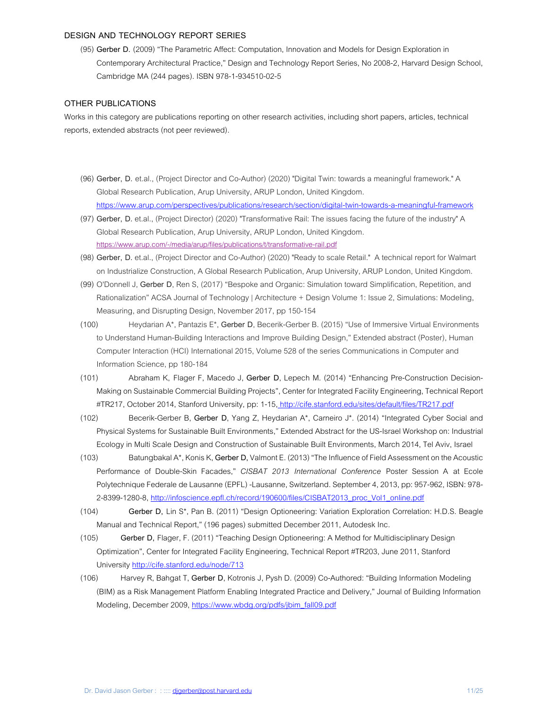### **DESIGN AND TECHNOLOGY REPORT SERIES**

(95) **Gerber D.** (2009) "The Parametric Affect: Computation, Innovation and Models for Design Exploration in Contemporary Architectural Practice," Design and Technology Report Series, No 2008-2, Harvard Design School, Cambridge MA (244 pages). ISBN 978-1-934510-02-5

# **OTHER PUBLICATIONS**

Works in this category are publications reporting on other research activities, including short papers, articles, technical reports, extended abstracts (not peer reviewed).

- (96) **Gerber, D.** et.al., (Project Director and Co-Author) (2020) "Digital Twin: towards a meaningful framework." A Global Research Publication, Arup University, ARUP London, United Kingdom. https://www.arup.com/perspectives/publications/research/section/digital-twin-towards-a-meaningful-framework
- (97) **Gerber, D.** et.al., (Project Director) (2020) "Transformative Rail: The issues facing the future of the industry" A Global Research Publication, Arup University, ARUP London, United Kingdom. https://www.arup.com/-/media/arup/files/publications/t/transformative-rail.pdf
- (98) **Gerber, D.** et.al., (Project Director and Co-Author) (2020) "Ready to scale Retail." A technical report for Walmart on Industrialize Construction, A Global Research Publication, Arup University, ARUP London, United Kingdom.
- (99) O'Donnell J, **Gerber D**, Ren S, (2017) "Bespoke and Organic: Simulation toward Simplification, Repetition, and Rationalization" ACSA Journal of Technology | Architecture + Design Volume 1: Issue 2, Simulations: Modeling, Measuring, and Disrupting Design, November 2017, pp 150-154
- (100) Heydarian A\*, Pantazis E\*, **Gerber D**, Becerik-Gerber B. (2015) "Use of Immersive Virtual Environments to Understand Human-Building Interactions and Improve Building Design," Extended abstract (Poster), Human Computer Interaction (HCI) International 2015, Volume 528 of the series Communications in Computer and Information Science, pp 180-184
- (101) Abraham K, Flager F, Macedo J, **Gerber D**, Lepech M. (2014) "Enhancing Pre-Construction Decision-Making on Sustainable Commercial Building Projects", Center for Integrated Facility Engineering, Technical Report #TR217, October 2014, Stanford University, pp: 1-15, http://cife.stanford.edu/sites/default/files/TR217.pdf
- (102) Becerik-Gerber B, **Gerber D**, Yang Z, Heydarian A\*, Carneiro J\*. (2014) "Integrated Cyber Social and Physical Systems for Sustainable Built Environments," Extended Abstract for the US-Israel Workshop on: Industrial Ecology in Multi Scale Design and Construction of Sustainable Built Environments, March 2014, Tel Aviv, Israel
- (103) Batungbakal A\*, Konis K, **Gerber D,** Valmont E. (2013) "The Influence of Field Assessment on the Acoustic Performance of Double-Skin Facades," *CISBAT 2013 International Conference* Poster Session A at Ecole Polytechnique Federale de Lausanne (EPFL) -Lausanne, Switzerland. September 4, 2013, pp: 957-962, ISBN: 978- 2-8399-1280-8, http://infoscience.epfl.ch/record/190600/files/CISBAT2013\_proc\_Vol1\_online.pdf
- (104) **Gerber D,** Lin S\*, Pan B. (2011) "Design Optioneering: Variation Exploration Correlation: H.D.S. Beagle Manual and Technical Report," (196 pages) submitted December 2011, Autodesk Inc.
- (105) **Gerber D,** Flager, F. (2011) "Teaching Design Optioneering: A Method for Multidisciplinary Design Optimization", Center for Integrated Facility Engineering, Technical Report #TR203, June 2011, Stanford University http://cife.stanford.edu/node/713
- (106) Harvey R, Bahgat T, **Gerber D**, Kotronis J, Pysh D. (2009) Co-Authored: "Building Information Modeling (BIM) as a Risk Management Platform Enabling Integrated Practice and Delivery," Journal of Building Information Modeling, December 2009, https://www.wbdg.org/pdfs/jbim\_fall09.pdf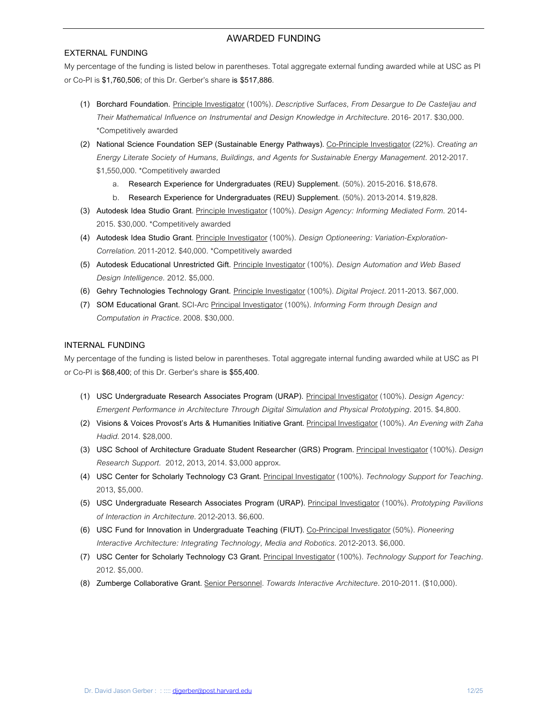# **AWARDED FUNDING**

## **EXTERNAL FUNDING**

My percentage of the funding is listed below in parentheses. Total aggregate external funding awarded while at USC as PI or Co-PI is **\$1,760,506**; of this Dr. Gerber's share **is \$517,886**.

- **(1) Borchard Foundation.** Principle Investigator (100%). *Descriptive Surfaces, From Desargue to De Casteljau and Their Mathematical Influence on Instrumental and Design Knowledge in Architecture.* 2016- 2017. \$30,000. \*Competitively awarded
- **(2) National Science Foundation SEP (Sustainable Energy Pathways).** Co-Principle Investigator (22%). *Creating an Energy Literate Society of Humans, Buildings, and Agents for Sustainable Energy Management.* 2012-2017. \$1,550,000. \*Competitively awarded
	- a. **Research Experience for Undergraduates (REU) Supplement.** (50%). 2015-2016. \$18,678.
	- b. **Research Experience for Undergraduates (REU) Supplement.** (50%). 2013-2014. \$19,828.
- **(3) Autodesk Idea Studio Grant**. Principle Investigator (100%). *Design Agency: Informing Mediated Form.* 2014- 2015. \$30,000. \*Competitively awarded
- **(4) Autodesk Idea Studio Grant**. Principle Investigator (100%). *Design Optioneering: Variation-Exploration-Correlation*. 2011-2012. \$40,000. \*Competitively awarded
- **(5) Autodesk Educational Unrestricted Gift.** Principle Investigator (100%). *Design Automation and Web Based Design Intelligence.* 2012*.* \$5,000.
- **(6) Gehry Technologies Technology Grant.** Principle Investigator (100%). *Digital Project.* 2011-2013. \$67,000.
- **(7) SOM Educational Grant.** SCI-Arc Principal Investigator (100%). *Informing Form through Design and Computation in Practice*. 2008. \$30,000.

# **INTERNAL FUNDING**

My percentage of the funding is listed below in parentheses. Total aggregate internal funding awarded while at USC as PI or Co-PI is **\$68,400**; of this Dr. Gerber's share **is \$55,400**.

- **(1) USC Undergraduate Research Associates Program (URAP).** Principal Investigator (100%). *Design Agency: Emergent Performance in Architecture Through Digital Simulation and Physical Prototyping.* 2015. \$4,800.
- **(2) Visions & Voices Provost's Arts & Humanities Initiative Grant.** Principal Investigator (100%). *An Evening with Zaha Hadid*. 2014. \$28,000.
- **(3) USC School of Architecture Graduate Student Researcher (GRS) Program.** Principal Investigator (100%). *Design Research Support.* 2012, 2013, 2014. \$3,000 approx.
- **(4) USC Center for Scholarly Technology C3 Grant.** Principal Investigator (100%). *Technology Support for Teaching.* 2013, \$5,000.
- **(5) USC Undergraduate Research Associates Program (URAP).** Principal Investigator (100%). *Prototyping Pavilions of Interaction in Architecture*. 2012-2013. \$6,600.
- **(6) USC Fund for Innovation in Undergraduate Teaching (FIUT).** Co-Principal Investigator (50%). *Pioneering Interactive Architecture: Integrating Technology, Media and Robotics.* 2012-2013. \$6,000.
- **(7) USC Center for Scholarly Technology C3 Grant.** Principal Investigator (100%). *Technology Support for Teaching.* 2012. \$5,000.
- **(8) Zumberge Collaborative Grant.** Senior Personnel. *Towards Interactive Architecture.* 2010-2011. (\$10,000).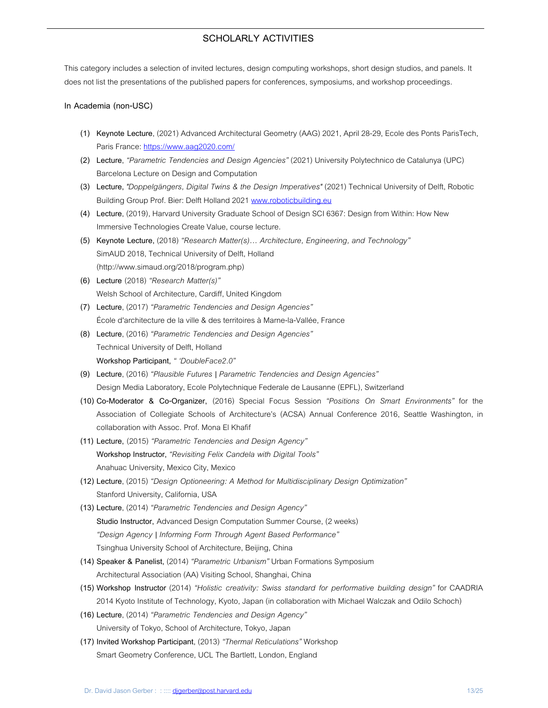# **SCHOLARLY ACTIVITIES**

This category includes a selection of invited lectures, design computing workshops, short design studios, and panels. It does not list the presentations of the published papers for conferences, symposiums, and workshop proceedings.

### **In Academia (non-USC)**

- **(1) Keynote Lecture**, (2021) Advanced Architectural Geometry (AAG) 2021, April 28-29, Ecole des Ponts ParisTech, Paris France: https://www.aag2020.com/
- **(2) Lecture**, *"Parametric Tendencies and Design Agencies"* (2021) University Polytechnico de Catalunya (UPC) Barcelona Lecture on Design and Computation
- **(3) Lecture,** *"Doppelgängers, Digital Twins & the Design Imperatives"* (2021) Technical University of Delft, Robotic Building Group Prof. Bier: Delft Holland 2021 www.roboticbuilding.eu
- **(4) Lecture**, (2019), Harvard University Graduate School of Design SCI 6367: Design from Within: How New Immersive Technologies Create Value, course lecture.
- **(5) Keynote Lecture,** (2018) *"Research Matter(s)… Architecture, Engineering, and Technology"* SimAUD 2018, Technical University of Delft, Holland (http://www.simaud.org/2018/program.php)
- **(6) Lecture** (2018) *"Research Matter(s)"* Welsh School of Architecture, Cardiff, United Kingdom
- **(7) Lecture**, (2017) *"Parametric Tendencies and Design Agencies"* École d'architecture de la ville & des territoires à Marne-la-Vallée, France
- **(8) Lecture**, (2016) *"Parametric Tendencies and Design Agencies"* Technical University of Delft, Holland **Workshop Participant,** *" 'DoubleFace2.0"*
- **(9) Lecture**, (2016) *"Plausible Futures | Parametric Tendencies and Design Agencies"* Design Media Laboratory, Ecole Polytechnique Federale de Lausanne (EPFL), Switzerland
- **(10) Co-Moderator & Co-Organizer,** (2016) Special Focus Session *"Positions On Smart Environments"* for the Association of Collegiate Schools of Architecture's (ACSA) Annual Conference 2016, Seattle Washington, in collaboration with Assoc. Prof. Mona El Khafif
- **(11) Lecture,** (2015) *"Parametric Tendencies and Design Agency"* **Workshop Instructor,** *"Revisiting Felix Candela with Digital Tools"* Anahuac University, Mexico City, Mexico
- **(12) Lecture**, (2015) *"Design Optioneering: A Method for Multidisciplinary Design Optimization"* Stanford University, California, USA
- **(13) Lecture**, (2014) *"Parametric Tendencies and Design Agency"* **Studio Instructor,** Advanced Design Computation Summer Course, (2 weeks) *"Design Agency | Informing Form Through Agent Based Performance"* Tsinghua University School of Architecture, Beijing, China
- **(14) Speaker & Panelist,** (2014) *"Parametric Urbanism"* Urban Formations Symposium Architectural Association (AA) Visiting School, Shanghai, China
- **(15) Workshop Instructor** (2014) *"Holistic creativity: Swiss standard for performative building design"* for CAADRIA 2014 Kyoto Institute of Technology, Kyoto, Japan (in collaboration with Michael Walczak and Odilo Schoch)
- **(16) Lecture**, (2014) *"Parametric Tendencies and Design Agency"* University of Tokyo, School of Architecture, Tokyo, Japan
- **(17) Invited Workshop Participant**, (2013) *"Thermal Reticulations"* Workshop Smart Geometry Conference, UCL The Bartlett, London, England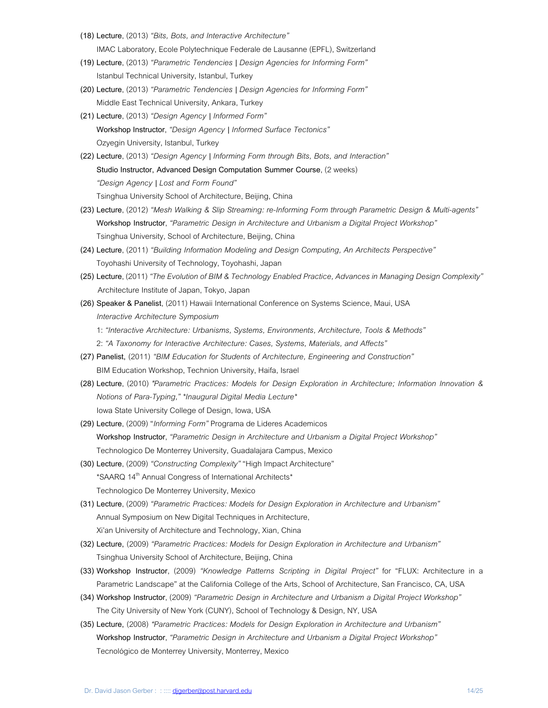- **(18) Lecture**, (2013) *"Bits, Bots, and Interactive Architecture"* IMAC Laboratory, Ecole Polytechnique Federale de Lausanne (EPFL), Switzerland
- **(19) Lecture**, (2013) *"Parametric Tendencies | Design Agencies for Informing Form"* Istanbul Technical University, Istanbul, Turkey
- **(20) Lecture**, (2013) *"Parametric Tendencies | Design Agencies for Informing Form"*  Middle East Technical University, Ankara, Turkey
- **(21) Lecture**, (2013) *"Design Agency | Informed Form"* **Workshop Instructor**, *"Design Agency | Informed Surface Tectonics"*  Ozyegin University, Istanbul, Turkey
- **(22) Lecture**, (2013) *"Design Agency | Informing Form through Bits, Bots, and Interaction"*  **Studio Instructor, Advanced Design Computation Summer Course**, (2 weeks) *"Design Agency | Lost and Form Found"* Tsinghua University School of Architecture, Beijing, China
- **(23) Lecture**, (2012) *"Mesh Walking & Slip Streaming: re-Informing Form through Parametric Design & Multi-agents"*  **Workshop Instructor**, *"Parametric Design in Architecture and Urbanism a Digital Project Workshop"* Tsinghua University, School of Architecture, Beijing, China
- **(24) Lecture**, (2011) *"Building Information Modeling and Design Computing, An Architects Perspective"*  Toyohashi University of Technology, Toyohashi, Japan
- **(25) Lecture**, (2011) *"The Evolution of BIM & Technology Enabled Practice, Advances in Managing Design Complexity"* Architecture Institute of Japan, Tokyo, Japan
- **(26) Speaker & Panelist**, (2011) Hawaii International Conference on Systems Science, Maui, USA *Interactive Architecture Symposium* 1: *"Interactive Architecture: Urbanisms, Systems, Environments, Architecture, Tools & Methods"* 2: *"A Taxonomy for Interactive Architecture: Cases, Systems, Materials, and Affects"*
- **(27) Panelist,** (2011) *"BIM Education for Students of Architecture, Engineering and Construction"*  BIM Education Workshop, Technion University, Haifa, Israel
- **(28) Lecture**, (2010) *"Parametric Practices: Models for Design Exploration in Architecture; Information Innovation & Notions of Para-Typing," \*Inaugural Digital Media Lecture\**  Iowa State University College of Design, Iowa, USA
- **(29) Lecture**, (2009) "*Informing Form"* Programa de Lideres Academicos **Workshop Instructor**, *"Parametric Design in Architecture and Urbanism a Digital Project Workshop"*  Technologico De Monterrey University, Guadalajara Campus, Mexico
- **(30) Lecture**, (2009) *"Constructing Complexity"* "High Impact Architecture" \*SAARQ 14<sup>th</sup> Annual Congress of International Architects\* Technologico De Monterrey University, Mexico
- **(31) Lecture**, (2009) *"Parametric Practices: Models for Design Exploration in Architecture and Urbanism"* Annual Symposium on New Digital Techniques in Architecture, Xi'an University of Architecture and Technology, Xian, China
- **(32) Lecture,** (2009) *"Parametric Practices: Models for Design Exploration in Architecture and Urbanism"* Tsinghua University School of Architecture, Beijing, China
- **(33) Workshop Instructor**, (2009) *"Knowledge Patterns Scripting in Digital Project"* for "FLUX: Architecture in a Parametric Landscape" at the California College of the Arts, School of Architecture, San Francisco, CA, USA
- **(34) Workshop Instructor**, (2009) *"Parametric Design in Architecture and Urbanism a Digital Project Workshop"*  The City University of New York (CUNY), School of Technology & Design, NY, USA
- **(35) Lecture,** (2008) *"Parametric Practices: Models for Design Exploration in Architecture and Urbanism"* **Workshop Instructor**, *"Parametric Design in Architecture and Urbanism a Digital Project Workshop"* Tecnológico de Monterrey University, Monterrey, Mexico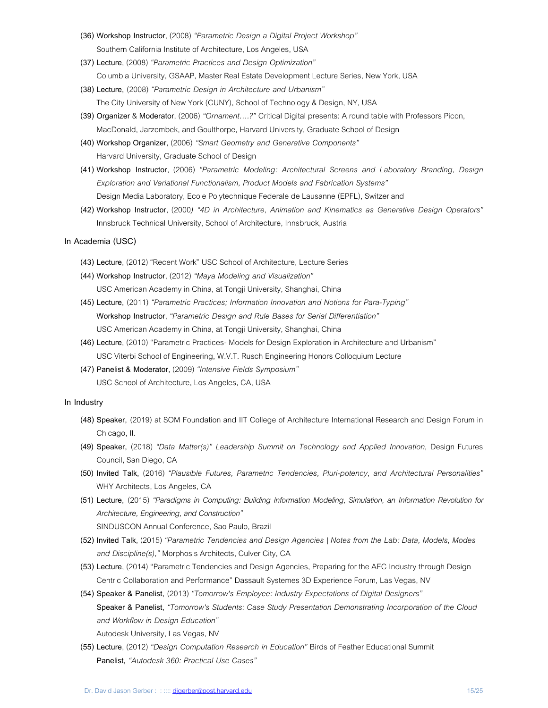- **(36) Workshop Instructor**, (2008) *"Parametric Design a Digital Project Workshop"*  Southern California Institute of Architecture, Los Angeles, USA
- **(37) Lecture**, (2008) *"Parametric Practices and Design Optimization"*  Columbia University, GSAAP, Master Real Estate Development Lecture Series, New York, USA
- **(38) Lecture,** (2008) *"Parametric Design in Architecture and Urbanism"* The City University of New York (CUNY), School of Technology & Design, NY, USA
- **(39) Organizer** & **Moderator**, (2006) *"Ornament….?"* Critical Digital presents: A round table with Professors Picon, MacDonald, Jarzombek, and Goulthorpe, Harvard University, Graduate School of Design
- **(40) Workshop Organizer**, (2006) *"Smart Geometry and Generative Components"* Harvard University, Graduate School of Design
- **(41) Workshop Instructor**, (2006) *"Parametric Modeling: Architectural Screens and Laboratory Branding, Design Exploration and Variational Functionalism, Product Models and Fabrication Systems"* Design Media Laboratory, Ecole Polytechnique Federale de Lausanne (EPFL), Switzerland
- **(42) Workshop Instructor**, (2000*) "4D in Architecture, Animation and Kinematics as Generative Design Operators"* Innsbruck Technical University, School of Architecture, Innsbruck, Austria

### **In Academia (USC)**

- **(43) Lecture**, (2012) **"**Recent Work**"** USC School of Architecture, Lecture Series
- **(44) Workshop Instructor**, (2012) *"Maya Modeling and Visualization"*  USC American Academy in China, at Tongji University, Shanghai, China
- **(45) Lecture,** (2011) *"Parametric Practices; Information Innovation and Notions for Para-Typing"* **Workshop Instructor**, *"Parametric Design and Rule Bases for Serial Differentiation"* USC American Academy in China, at Tongji University, Shanghai, China
- **(46) Lecture**, (2010) "Parametric Practices- Models for Design Exploration in Architecture and Urbanism" USC Viterbi School of Engineering, W.V.T. Rusch Engineering Honors Colloquium Lecture
- **(47) Panelist & Moderator**, (2009) *"Intensive Fields Symposium"* USC School of Architecture, Los Angeles, CA, USA

### **In Industry**

- **(48) Speaker,** (2019) at SOM Foundation and IIT College of Architecture International Research and Design Forum in Chicago, Il.
- **(49) Speaker,** (2018) *"Data Matter(s)" Leadership Summit on Technology and Applied Innovation,* Design Futures Council, San Diego, CA
- **(50) Invited Talk,** (2016) *"Plausible Futures, Parametric Tendencies, Pluri-potency, and Architectural Personalities"* WHY Architects, Los Angeles, CA
- **(51) Lecture,** (2015) *"Paradigms in Computing: Building Information Modeling, Simulation, an Information Revolution for Architecture, Engineering, and Construction"*

SINDUSCON Annual Conference, Sao Paulo, Brazil

- **(52) Invited Talk**, (2015) *"Parametric Tendencies and Design Agencies | Notes from the Lab: Data, Models, Modes and Discipline(s),"* Morphosis Architects, Culver City, CA
- **(53) Lecture**, (2014) "Parametric Tendencies and Design Agencies, Preparing for the AEC Industry through Design Centric Collaboration and Performance" Dassault Systemes 3D Experience Forum, Las Vegas, NV
- **(54) Speaker & Panelist,** (2013) *"Tomorrow's Employee: Industry Expectations of Digital Designers"* **Speaker & Panelist,** *"Tomorrow's Students: Case Study Presentation Demonstrating Incorporation of the Cloud and Workflow in Design Education"* Autodesk University, Las Vegas, NV
- **(55) Lecture**, (2012) *"Design Computation Research in Education"* Birds of Feather Educational Summit **Panelist,** *"Autodesk 360: Practical Use Cases"*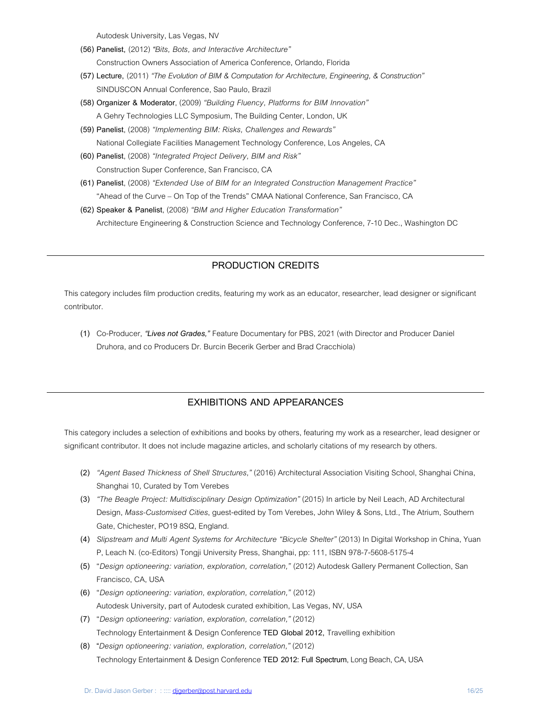Autodesk University, Las Vegas, NV

- **(56) Panelist,** (2012) *"Bits, Bots, and Interactive Architecture"* Construction Owners Association of America Conference, Orlando, Florida
- **(57) Lecture,** (2011) *"The Evolution of BIM & Computation for Architecture, Engineering, & Construction"* SINDUSCON Annual Conference, Sao Paulo, Brazil
- **(58) Organizer & Moderator**, (2009) *"Building Fluency, Platforms for BIM Innovation"*  A Gehry Technologies LLC Symposium, The Building Center, London, UK
- **(59) Panelist**, (2008) *"Implementing BIM: Risks, Challenges and Rewards"* National Collegiate Facilities Management Technology Conference, Los Angeles, CA
- **(60) Panelist**, (2008) *"Integrated Project Delivery, BIM and Risk"* Construction Super Conference, San Francisco, CA
- **(61) Panelist**, (2008) *"Extended Use of BIM for an Integrated Construction Management Practice"* "Ahead of the Curve – On Top of the Trends" CMAA National Conference, San Francisco, CA
- **(62) Speaker & Panelist**, (2008) *"BIM and Higher Education Transformation"* Architecture Engineering & Construction Science and Technology Conference, 7-10 Dec., Washington DC

# **PRODUCTION CREDITS**

This category includes film production credits, featuring my work as an educator, researcher, lead designer or significant contributor.

**(1)** Co-Producer, *"Lives not Grades,"* Feature Documentary for PBS, 2021 (with Director and Producer Daniel Druhora, and co Producers Dr. Burcin Becerik Gerber and Brad Cracchiola)

# **EXHIBITIONS AND APPEARANCES**

This category includes a selection of exhibitions and books by others, featuring my work as a researcher, lead designer or significant contributor. It does not include magazine articles, and scholarly citations of my research by others.

- **(2)** *"Agent Based Thickness of Shell Structures,"* (2016) Architectural Association Visiting School, Shanghai China, Shanghai 10, Curated by Tom Verebes
- **(3)** *"The Beagle Project: Multidisciplinary Design Optimization"* (2015) In article by Neil Leach, AD Architectural Design, *Mass-Customised Cities*, guest-edited by Tom Verebes, John Wiley & Sons, Ltd., The Atrium, Southern Gate, Chichester, PO19 8SQ, England.
- **(4)** *Slipstream and Multi Agent Systems for Architecture "Bicycle Shelter"* (2013) In Digital Workshop in China, Yuan P, Leach N. (co-Editors) Tongji University Press, Shanghai, pp: 111, ISBN 978-7-5608-5175-4
- **(5)** "*Design optioneering: variation, exploration, correlation,"* (2012) Autodesk Gallery Permanent Collection, San Francisco, CA, USA
- **(6)** "*Design optioneering: variation, exploration, correlation,"* (2012) Autodesk University, part of Autodesk curated exhibition, Las Vegas, NV, USA
- **(7)** "*Design optioneering: variation, exploration, correlation,"* (2012) Technology Entertainment & Design Conference **TED Global 2012,** Travelling exhibition
- **(8) "***Design optioneering: variation, exploration, correlation,"* (2012) Technology Entertainment & Design Conference **TED 2012: Full Spectrum**, Long Beach, CA, USA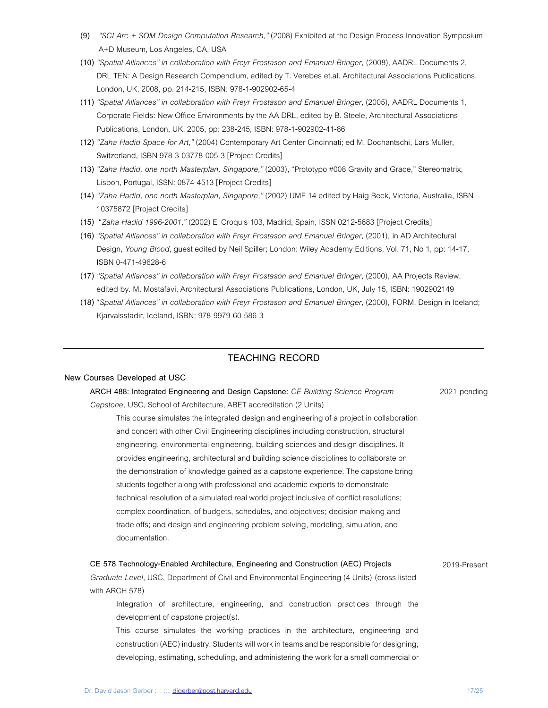- **(9)** *"SCI Arc + SOM Design Computation Research,"* (2008) Exhibited at the Design Process Innovation Symposium A+D Museum, Los Angeles, CA, USA
- **(10)** *"Spatial Alliances" in collaboration with Freyr Frostason and Emanuel Bringer,* (2008), AADRL Documents 2, DRL TEN: A Design Research Compendium, edited by T. Verebes et.al. Architectural Associations Publications, London, UK, 2008, pp. 214-215, ISBN: 978-1-902902-65-4
- **(11)** *"Spatial Alliances" in collaboration with Freyr Frostason and Emanuel Bringer,* (2005), AADRL Documents 1, Corporate Fields: New Office Environments by the AA DRL, edited by B. Steele, Architectural Associations Publications, London, UK, 2005, pp: 238-245, ISBN: 978-1-902902-41-86
- **(12)** *"Zaha Hadid Space for Art,"* (2004) Contemporary Art Center Cincinnati; ed M. Dochantschi, Lars Muller, Switzerland, ISBN 978-3-03778-005-3 [Project Credits]
- **(13)** *"Zaha Hadid, one north Masterplan, Singapore,"* (2003), "Prototypo #008 Gravity and Grace," Stereomatrix, Lisbon, Portugal, ISSN: 0874-4513 [Project Credits]
- **(14)** *"Zaha Hadid, one north Masterplan, Singapore,"* (2002) UME 14 edited by Haig Beck, Victoria, Australia, ISBN 10375872 [Project Credits]
- **(15)** "*Zaha Hadid 1996-2001,"* (2002) El Croquis 103, Madrid, Spain, ISSN 0212-5683 [Project Credits]
- **(16)** *"Spatial Alliances" in collaboration with Freyr Frostason and Emanuel Bringer,* (2001)*,* in AD Architectural Design, *Young Blood*, guest edited by Neil Spiller; London: Wiley Academy Editions, Vol. 71, No 1, pp: 14-17, ISBN 0-471-49628-6
- **(17)** *"Spatial Alliances" in collaboration with Freyr Frostason and Emanuel Bringer,* (2000)*,* AA Projects Review, edited by. M. Mostafavi, Architectural Associations Publications, London, UK, July 15, ISBN: 1902902149
- **(18)** "*Spatial Alliances" in collaboration with Freyr Frostason and Emanuel Bringer,* (2000)*,* FORM, Design in Iceland; Kjarvalsstadir, Iceland, ISBN: 978-9979-60-586-3

# **TEACHING RECORD**

### **New Courses Developed at USC**

| ARCH 488: Integrated Engineering and Design Capstone: CE Building Science Program         | 2021-pending |
|-------------------------------------------------------------------------------------------|--------------|
| Capstone, USC, School of Architecture, ABET accreditation (2 Units)                       |              |
| This course simulates the integrated design and engineering of a project in collaboration |              |
| and concert with other Civil Engineering disciplines including construction, structural   |              |
| engineering, environmental engineering, building sciences and design disciplines. It      |              |
| provides engineering, architectural and building science disciplines to collaborate on    |              |
| the demonstration of knowledge gained as a capstone experience. The capstone bring        |              |
| students together along with professional and academic experts to demonstrate             |              |
| technical resolution of a simulated real world project inclusive of conflict resolutions; |              |
| complex coordination, of budgets, schedules, and objectives; decision making and          |              |
| trade offs; and design and engineering problem solving, modeling, simulation, and         |              |
| documentation.                                                                            |              |
|                                                                                           |              |

#### **CE 578 Technology-Enabled Architecture, Engineering and Construction (AEC) Projects**

2019-Present

*Graduate Level*, USC, Departmentof Civil and Environmental Engineering (4 Units) (cross listed with ARCH 578)

Integration of architecture, engineering, and construction practices through the development of capstone project(s).

This course simulates the working practices in the architecture, engineering and construction (AEC) industry. Students will work in teams and be responsible for designing, developing, estimating, scheduling, and administering the work for a small commercial or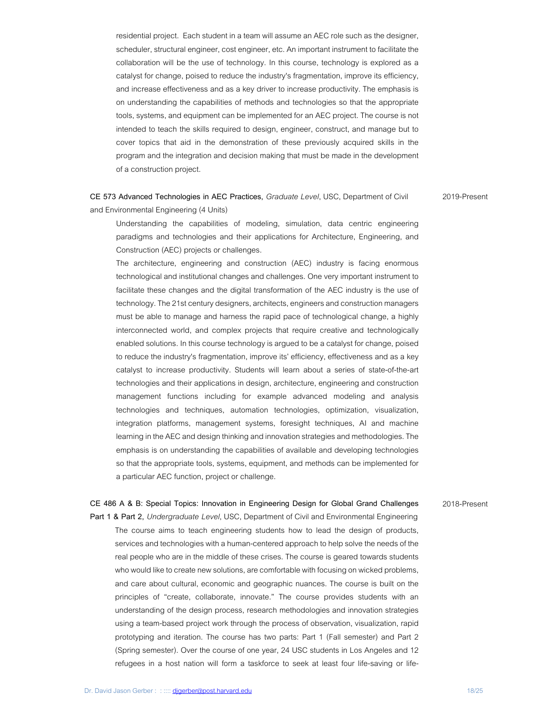residential project. Each student in a team will assume an AEC role such as the designer, scheduler, structural engineer, cost engineer, etc. An important instrument to facilitate the collaboration will be the use of technology. In this course, technology is explored as a catalyst for change, poised to reduce the industry's fragmentation, improve its efficiency, and increase effectiveness and as a key driver to increase productivity. The emphasis is on understanding the capabilities of methods and technologies so that the appropriate tools, systems, and equipment can be implemented for an AEC project. The course is not intended to teach the skills required to design, engineer, construct, and manage but to cover topics that aid in the demonstration of these previously acquired skills in the program and the integration and decision making that must be made in the development of a construction project.

**CE 573 Advanced Technologies in AEC Practices,** *Graduate Level*, USC, Department of Civil and Environmental Engineering (4 Units)

2019-Present

Understanding the capabilities of modeling, simulation, data centric engineering paradigms and technologies and their applications for Architecture, Engineering, and Construction (AEC) projects or challenges.

The architecture, engineering and construction (AEC) industry is facing enormous technological and institutional changes and challenges. One very important instrument to facilitate these changes and the digital transformation of the AEC industry is the use of technology. The 21st century designers, architects, engineers and construction managers must be able to manage and harness the rapid pace of technological change, a highly interconnected world, and complex projects that require creative and technologically enabled solutions. In this course technology is argued to be a catalyst for change, poised to reduce the industry's fragmentation, improve its' efficiency, effectiveness and as a key catalyst to increase productivity. Students will learn about a series of state-of-the-art technologies and their applications in design, architecture, engineering and construction management functions including for example advanced modeling and analysis technologies and techniques, automation technologies, optimization, visualization, integration platforms, management systems, foresight techniques, AI and machine learning in the AEC and design thinking and innovation strategies and methodologies. The emphasis is on understanding the capabilities of available and developing technologies so that the appropriate tools, systems, equipment, and methods can be implemented for a particular AEC function, project or challenge.

2018-Present

**Part 1 & Part 2,** *Undergraduate Level*, USC, Department of Civil and Environmental Engineering The course aims to teach engineering students how to lead the design of products, services and technologies with a human-centered approach to help solve the needs of the real people who are in the middle of these crises. The course is geared towards students who would like to create new solutions, are comfortable with focusing on wicked problems, and care about cultural, economic and geographic nuances. The course is built on the principles of "create, collaborate, innovate." The course provides students with an understanding of the design process, research methodologies and innovation strategies using a team-based project work through the process of observation, visualization, rapid prototyping and iteration. The course has two parts: Part 1 (Fall semester) and Part 2 (Spring semester). Over the course of one year, 24 USC students in Los Angeles and 12 refugees in a host nation will form a taskforce to seek at least four life-saving or life-

**CE 486 A & B: Special Topics: Innovation in Engineering Design for Global Grand Challenges**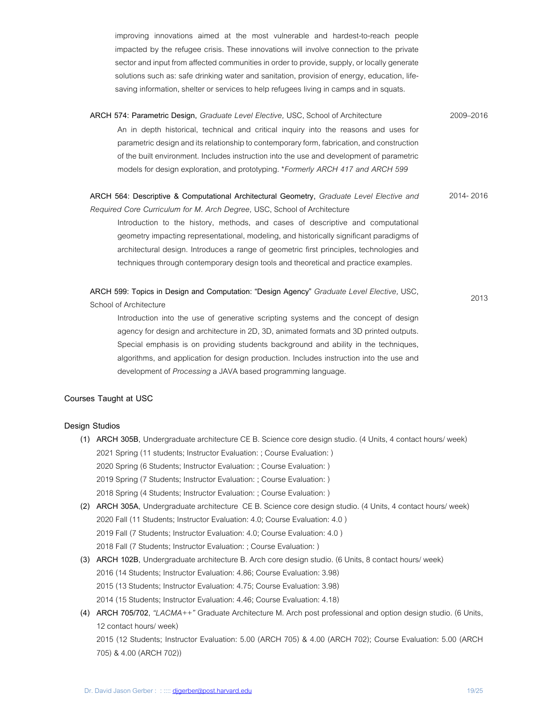improving innovations aimed at the most vulnerable and hardest-to-reach people impacted by the refugee crisis. These innovations will involve connection to the private sector and input from affected communities in order to provide, supply, or locally generate solutions such as: safe drinking water and sanitation, provision of energy, education, lifesaving information, shelter or services to help refugees living in camps and in squats.

**ARCH 574: Parametric Design,** *Graduate Level Elective,* USC, School of Architecture 2009–2016 An in depth historical, technical and critical inquiry into the reasons and uses for parametric design and its relationship to contemporary form, fabrication, and construction of the built environment. Includes instruction into the use and development of parametric models for design exploration, and prototyping. \**Formerly ARCH 417 and ARCH 599*

#### **ARCH 564: Descriptive & Computational Architectural Geometry,** *Graduate Level Elective and Required Core Curriculum for M. Arch Degree,* USC, School of Architecture 2014- 2016

Introduction to the history, methods, and cases of descriptive and computational geometry impacting representational, modeling, and historically significant paradigms of architectural design. Introduces a range of geometric first principles, technologies and techniques through contemporary design tools and theoretical and practice examples.

**ARCH 599: Topics in Design and Computation: "Design Agency"** *Graduate Level Elective,* USC, School of Architecture 2013

Introduction into the use of generative scripting systems and the concept of design agency for design and architecture in 2D, 3D, animated formats and 3D printed outputs. Special emphasis is on providing students background and ability in the techniques, algorithms, and application for design production. Includes instruction into the use and development of *Processing* a JAVA based programming language.

### **Courses Taught at USC**

### **Design Studios**

- **(1) ARCH 305B**, Undergraduate architecture CE B. Science core design studio. (4 Units, 4 contact hours/ week) 2021 Spring (11 students; Instructor Evaluation: ; Course Evaluation: ) 2020 Spring (6 Students; Instructor Evaluation: ; Course Evaluation: ) 2019 Spring (7 Students; Instructor Evaluation: ; Course Evaluation: ) 2018 Spring (4 Students; Instructor Evaluation: ; Course Evaluation: )
- **(2) ARCH 305A**, Undergraduate architecture CE B. Science core design studio. (4 Units, 4 contact hours/ week) 2020 Fall (11 Students; Instructor Evaluation: 4.0; Course Evaluation: 4.0 ) 2019 Fall (7 Students; Instructor Evaluation: 4.0; Course Evaluation: 4.0 ) 2018 Fall (7 Students; Instructor Evaluation: ; Course Evaluation: )
- **(3) ARCH 102B**, Undergraduate architecture B. Arch core design studio. (6 Units, 8 contact hours/ week) 2016 (14 Students; Instructor Evaluation: 4.86; Course Evaluation: 3.98) 2015 (13 Students; Instructor Evaluation: 4.75; Course Evaluation: 3.98) 2014 (15 Students; Instructor Evaluation: 4.46; Course Evaluation: 4.18)
- **(4) ARCH 705/702**, *"LACMA++"* Graduate Architecture M. Arch post professional and option design studio. (6 Units, 12 contact hours/ week) 2015 (12 Students; Instructor Evaluation: 5.00 (ARCH 705) & 4.00 (ARCH 702); Course Evaluation: 5.00 (ARCH 705) & 4.00 (ARCH 702))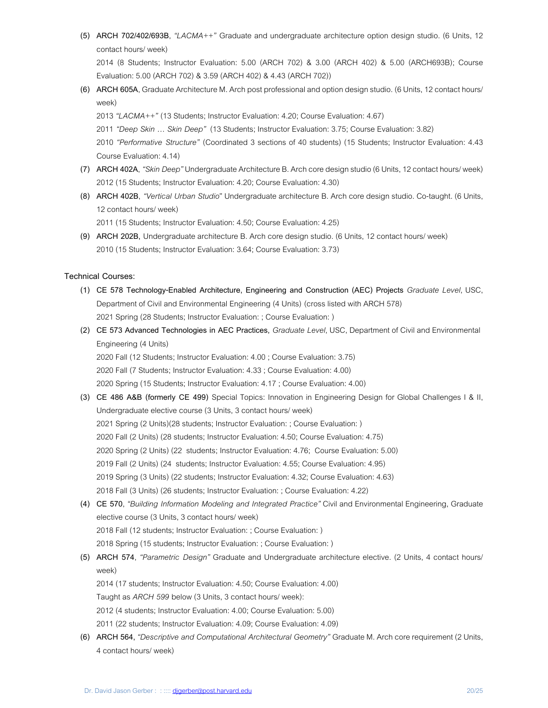**(5) ARCH 702/402/693B**, *"LACMA++"* Graduate and undergraduate architecture option design studio. (6 Units, 12 contact hours/ week)

2014 (8 Students; Instructor Evaluation: 5.00 (ARCH 702) & 3.00 (ARCH 402) & 5.00 (ARCH693B); Course Evaluation: 5.00 (ARCH 702) & 3.59 (ARCH 402) & 4.43 (ARCH 702))

**(6) ARCH 605A**, Graduate Architecture M. Arch post professional and option design studio. (6 Units, 12 contact hours/ week)

2013 *"LACMA++"* (13 Students; Instructor Evaluation: 4.20; Course Evaluation: 4.67)

2011 *"Deep Skin … Skin Deep"* (13 Students; Instructor Evaluation: 3.75; Course Evaluation: 3.82)

2010 *"Performative Structure"* (Coordinated 3 sections of 40 students) (15 Students; Instructor Evaluation: 4.43 Course Evaluation: 4.14)

- **(7) ARCH 402A**, *"Skin Deep"* Undergraduate Architecture B. Arch core design studio (6 Units, 12 contact hours/ week) 2012 (15 Students; Instructor Evaluation: 4.20; Course Evaluation: 4.30)
- **(8) ARCH 402B**, *"Vertical Urban Studio*" Undergraduate architecture B. Arch core design studio. Co-taught. (6 Units, 12 contact hours/ week)

2011 (15 Students; Instructor Evaluation: 4.50; Course Evaluation: 4.25)

**(9) ARCH 202B,** Undergraduate architecture B. Arch core design studio. (6 Units, 12 contact hours/ week) 2010 (15 Students; Instructor Evaluation: 3.64; Course Evaluation: 3.73)

# **Technical Courses:**

- **(1) CE 578 Technology-Enabled Architecture, Engineering and Construction (AEC) Projects** *Graduate Level*, USC, Department of Civil and Environmental Engineering (4 Units) (cross listed with ARCH 578) 2021 Spring (28 Students; Instructor Evaluation: ; Course Evaluation: )
- **(2) CE 573 Advanced Technologies in AEC Practices,** *Graduate Level*, USC, Department of Civil and Environmental Engineering (4 Units)

2020 Fall (12 Students; Instructor Evaluation: 4.00 ; Course Evaluation: 3.75) 2020 Fall (7 Students; Instructor Evaluation: 4.33 ; Course Evaluation: 4.00) 2020 Spring (15 Students; Instructor Evaluation: 4.17 ; Course Evaluation: 4.00)

- **(3) CE 486 A&B (formerly CE 499)** Special Topics: Innovation in Engineering Design for Global Challenges I & II, Undergraduate elective course (3 Units, 3 contact hours/ week) 2021 Spring (2 Units)(28 students; Instructor Evaluation: ; Course Evaluation: ) 2020 Fall (2 Units) (28 students; Instructor Evaluation: 4.50; Course Evaluation: 4.75) 2020 Spring (2 Units) (22 students; Instructor Evaluation: 4.76; Course Evaluation: 5.00) 2019 Fall (2 Units) (24 students; Instructor Evaluation: 4.55; Course Evaluation: 4.95) 2019 Spring (3 Units) (22 students; Instructor Evaluation: 4.32; Course Evaluation: 4.63) 2018 Fall (3 Units) (26 students; Instructor Evaluation: ; Course Evaluation: 4.22)
- **(4) CE 570**, *"Building Information Modeling and Integrated Practice"* Civil and Environmental Engineering, Graduate elective course (3 Units, 3 contact hours/ week) 2018 Fall (12 students; Instructor Evaluation: ; Course Evaluation: ) 2018 Spring (15 students; Instructor Evaluation: ; Course Evaluation: )
- **(5) ARCH 574**, *"Parametric Design"* Graduate and Undergraduate architecture elective. (2 Units, 4 contact hours/ week)
	- 2014 (17 students; Instructor Evaluation: 4.50; Course Evaluation: 4.00)

Taught as *ARCH 599* below (3 Units, 3 contact hours/ week):

- 2012 (4 students; Instructor Evaluation: 4.00; Course Evaluation: 5.00)
- 2011 (22 students; Instructor Evaluation: 4.09; Course Evaluation: 4.09)
- **(6) ARCH 564,** *"Descriptive and Computational Architectural Geometry"* Graduate M. Arch core requirement (2 Units, 4 contact hours/ week)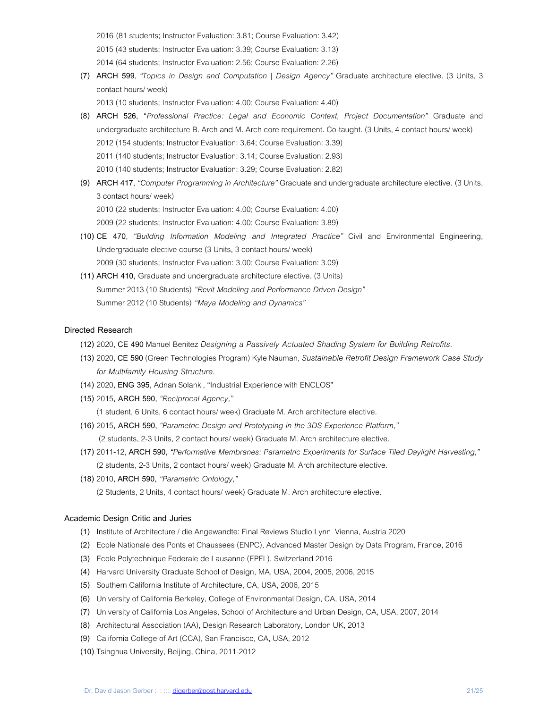2016 (81 students; Instructor Evaluation: 3.81; Course Evaluation: 3.42)

2015 (43 students; Instructor Evaluation: 3.39; Course Evaluation: 3.13)

2014 (64 students; Instructor Evaluation: 2.56; Course Evaluation: 2.26)

**(7) ARCH 599**, *"Topics in Design and Computation | Design Agency"* Graduate architecture elective. (3 Units, 3 contact hours/ week)

2013 (10 students; Instructor Evaluation: 4.00; Course Evaluation: 4.40)

- **(8) ARCH 526,** "*Professional Practice: Legal and Economic Context, Project Documentation"* Graduate and undergraduate architecture B. Arch and M. Arch core requirement**.** Co-taught. (3 Units, 4 contact hours/ week) 2012 (154 students; Instructor Evaluation: 3.64; Course Evaluation: 3.39) 2011 (140 students; Instructor Evaluation: 3.14; Course Evaluation: 2.93) 2010 (140 students; Instructor Evaluation: 3.29; Course Evaluation: 2.82)
- **(9) ARCH 417**, *"Computer Programming in Architecture"* Graduate and undergraduate architecture elective. (3 Units, 3 contact hours/ week) 2010 (22 students; Instructor Evaluation: 4.00; Course Evaluation: 4.00) 2009 (22 students; Instructor Evaluation: 4.00; Course Evaluation: 3.89)
- **(10) CE 470**, *"Building Information Modeling and Integrated Practice"* Civil and Environmental Engineering, Undergraduate elective course (3 Units, 3 contact hours/ week) 2009 (30 students; Instructor Evaluation: 3.00; Course Evaluation: 3.09)
- **(11) ARCH 410,** Graduate and undergraduate architecture elective. (3 Units) Summer 2013 (10 Students) *"Revit Modeling and Performance Driven Design"* Summer 2012 (10 Students) *"Maya Modeling and Dynamics"*

### **Directed Research**

- **(12)** 2020, **CE 490** Manuel Benitez *Designing a Passively Actuated Shading System for Building Retrofits.*
- **(13)** 2020, **CE 590**(Green Technologies Program) Kyle Nauman, *Sustainable Retrofit Design Framework Case Study for Multifamily Housing Structure.*
- **(14)** 2020, **ENG 395**, Adnan Solanki, "Industrial Experience with ENCLOS"
- **(15)** 2015**, ARCH 590,** *"Reciprocal Agency,"*
	- (1 student, 6 Units, 6 contact hours/ week) Graduate M. Arch architecture elective.
- **(16)** 2015**, ARCH 590,** *"Parametric Design and Prototyping in the 3DS Experience Platform,"* (2 students, 2-3 Units, 2 contact hours/ week) Graduate M. Arch architecture elective.
- **(17)** 2011-12, **ARCH 590,** *"Performative Membranes: Parametric Experiments for Surface Tiled Daylight Harvesting,"* (2 students, 2-3 Units, 2 contact hours/ week) Graduate M. Arch architecture elective.
- **(18)** 2010, **ARCH 590,** *"Parametric Ontology,"* (2 Students, 2 Units, 4 contact hours/ week) Graduate M. Arch architecture elective.

### **Academic Design Critic and Juries**

- **(1)** Institute of Architecture / die Angewandte: Final Reviews Studio Lynn Vienna, Austria 2020
- **(2)** Ecole Nationale des Ponts et Chaussees (ENPC), Advanced Master Design by Data Program, France, 2016
- **(3)** Ecole Polytechnique Federale de Lausanne (EPFL), Switzerland 2016
- **(4)** Harvard University Graduate School of Design, MA, USA, 2004, 2005, 2006, 2015
- **(5)** Southern California Institute of Architecture, CA, USA, 2006, 2015
- **(6)** University of California Berkeley, College of Environmental Design, CA, USA, 2014
- **(7)** University of California Los Angeles, School of Architecture and Urban Design, CA, USA, 2007, 2014
- **(8)** Architectural Association (AA), Design Research Laboratory, London UK, 2013
- **(9)** California College of Art (CCA), San Francisco, CA, USA, 2012
- **(10)** Tsinghua University, Beijing, China, 2011-2012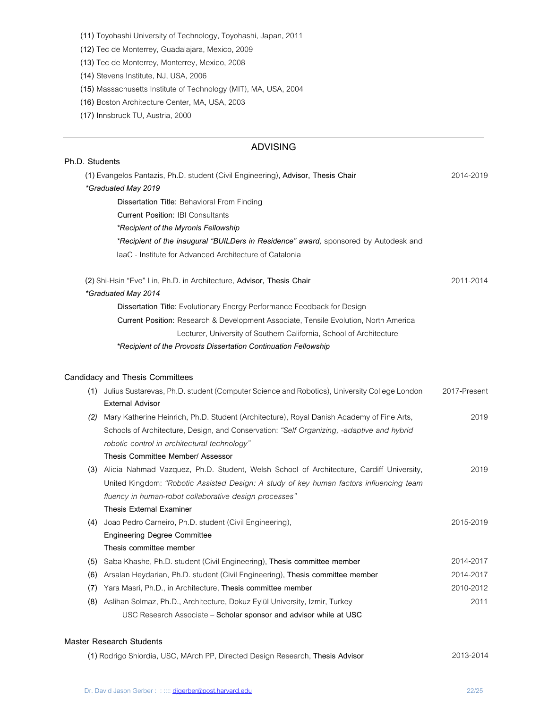**(11)** Toyohashi University of Technology, Toyohashi, Japan, 2011

**(12)** Tec de Monterrey, Guadalajara, Mexico, 2009

**(13)** Tec de Monterrey, Monterrey, Mexico, 2008

**(14)** Stevens Institute, NJ, USA, 2006

**(15)** Massachusetts Institute of Technology (MIT), MA, USA, 2004

**(16)** Boston Architecture Center, MA, USA, 2003

**(17)** Innsbruck TU, Austria, 2000

# **ADVISING**

|     | Ph.D. Students                                                                                  |              |
|-----|-------------------------------------------------------------------------------------------------|--------------|
|     | (1) Evangelos Pantazis, Ph.D. student (Civil Engineering), Advisor, Thesis Chair                | 2014-2019    |
|     | *Graduated May 2019                                                                             |              |
|     | Dissertation Title: Behavioral From Finding                                                     |              |
|     | <b>Current Position: IBI Consultants</b>                                                        |              |
|     | *Recipient of the Myronis Fellowship                                                            |              |
|     | *Recipient of the inaugural "BUILDers in Residence" award, sponsored by Autodesk and            |              |
|     | laaC - Institute for Advanced Architecture of Catalonia                                         |              |
|     | (2) Shi-Hsin "Eve" Lin, Ph.D. in Architecture, Advisor, Thesis Chair                            | 2011-2014    |
|     | *Graduated May 2014                                                                             |              |
|     | Dissertation Title: Evolutionary Energy Performance Feedback for Design                         |              |
|     | Current Position: Research & Development Associate, Tensile Evolution, North America            |              |
|     | Lecturer, University of Southern California, School of Architecture                             |              |
|     | *Recipient of the Provosts Dissertation Continuation Fellowship                                 |              |
|     |                                                                                                 |              |
|     | <b>Candidacy and Thesis Committees</b>                                                          |              |
|     | (1) Julius Sustarevas, Ph.D. student (Computer Science and Robotics), University College London | 2017-Present |
|     | <b>External Advisor</b>                                                                         |              |
| (2) | Mary Katherine Heinrich, Ph.D. Student (Architecture), Royal Danish Academy of Fine Arts,       | 2019         |
|     | Schools of Architecture, Design, and Conservation: "Self Organizing, -adaptive and hybrid       |              |
|     | robotic control in architectural technology"                                                    |              |
|     | Thesis Committee Member/ Assessor                                                               |              |
|     | (3) Alicia Nahmad Vazquez, Ph.D. Student, Welsh School of Architecture, Cardiff University,     | 2019         |
|     | United Kingdom: "Robotic Assisted Design: A study of key human factors influencing team         |              |
|     | fluency in human-robot collaborative design processes"                                          |              |
|     | <b>Thesis External Examiner</b>                                                                 |              |
| (4) | Joao Pedro Carneiro, Ph.D. student (Civil Engineering),                                         | 2015-2019    |
|     | <b>Engineering Degree Committee</b>                                                             |              |
|     | Thesis committee member                                                                         |              |
| (5) | Saba Khashe, Ph.D. student (Civil Engineering), Thesis committee member                         | 2014-2017    |
| (6) | Arsalan Heydarian, Ph.D. student (Civil Engineering), Thesis committee member                   | 2014-2017    |
| (7) | Yara Masri, Ph.D., in Architecture, Thesis committee member                                     | 2010-2012    |
| (8) | Aslihan Solmaz, Ph.D., Architecture, Dokuz Eylül University, Izmir, Turkey                      | 2011         |
|     | USC Research Associate - Scholar sponsor and advisor while at USC                               |              |

# **Master Research Students**

|  |  | (1) Rodrigo Shiordia, USC, MArch PP, Directed Design Research, Thesis Advisor | 2013-2014 |
|--|--|-------------------------------------------------------------------------------|-----------|
|--|--|-------------------------------------------------------------------------------|-----------|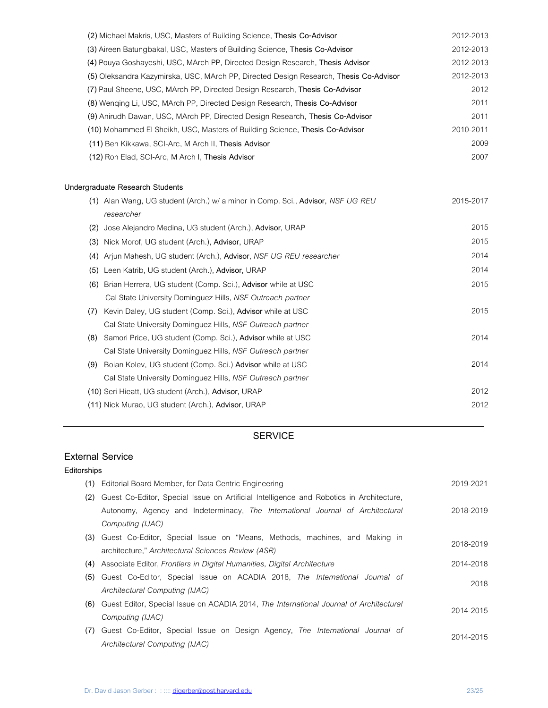| 2012-2013 |
|-----------|
| 2012-2013 |
| 2012-2013 |
| 2012-2013 |
| 2012      |
| 2011      |
| 2011      |
| 2010-2011 |
| 2009      |
| 2007      |
|           |

# **Undergraduate Research Students**

|     | (1) Alan Wang, UG student (Arch.) w/ a minor in Comp. Sci., Advisor, NSF UG REU | 2015-2017 |
|-----|---------------------------------------------------------------------------------|-----------|
|     | researcher                                                                      |           |
| (2) | Jose Alejandro Medina, UG student (Arch.), Advisor, URAP                        | 2015      |
| (3) | Nick Morof, UG student (Arch.), Advisor, URAP                                   | 2015      |
| (4) | Arjun Mahesh, UG student (Arch.), Advisor, NSF UG REU researcher                | 2014      |
| (5) | Leen Katrib, UG student (Arch.), Advisor, URAP                                  | 2014      |
| (6) | Brian Herrera, UG student (Comp. Sci.), Advisor while at USC                    | 2015      |
|     | Cal State University Dominguez Hills, NSF Outreach partner                      |           |
| (7) | Kevin Daley, UG student (Comp. Sci.), Advisor while at USC                      | 2015      |
|     | Cal State University Dominguez Hills, NSF Outreach partner                      |           |
| (8) | Samori Price, UG student (Comp. Sci.), Advisor while at USC                     | 2014      |
|     | Cal State University Dominguez Hills, NSF Outreach partner                      |           |
| (9) | Boian Kolev, UG student (Comp. Sci.) Advisor while at USC                       | 2014      |
|     | Cal State University Dominguez Hills, NSF Outreach partner                      |           |
|     | (10) Seri Hieatt, UG student (Arch.), Advisor, URAP                             | 2012      |
|     | (11) Nick Murao, UG student (Arch.), Advisor, URAP                              | 2012      |
|     |                                                                                 |           |

# **SERVICE**

# **External Service**

# **Editorships**

|     | (1) Editorial Board Member, for Data Centric Engineering                                   | 2019-2021 |
|-----|--------------------------------------------------------------------------------------------|-----------|
| (2) | Guest Co-Editor, Special Issue on Artificial Intelligence and Robotics in Architecture,    |           |
|     | Autonomy, Agency and Indeterminacy, The International Journal of Architectural             | 2018-2019 |
|     | Computing (IJAC)                                                                           |           |
|     | (3) Guest Co-Editor, Special Issue on "Means, Methods, machines, and Making in             | 2018-2019 |
|     | architecture," Architectural Sciences Review (ASR)                                         |           |
|     | (4) Associate Editor, Frontiers in Digital Humanities, Digital Architecture                | 2014-2018 |
|     | (5) Guest Co-Editor, Special Issue on ACADIA 2018, The International Journal of            | 2018      |
|     | Architectural Computing (IJAC)                                                             |           |
|     | (6) Guest Editor, Special Issue on ACADIA 2014, The International Journal of Architectural | 2014-2015 |
|     | Computing (IJAC)                                                                           |           |
|     | (7) Guest Co-Editor, Special Issue on Design Agency, The International Journal of          | 2014-2015 |
|     | Architectural Computing (IJAC)                                                             |           |
|     |                                                                                            |           |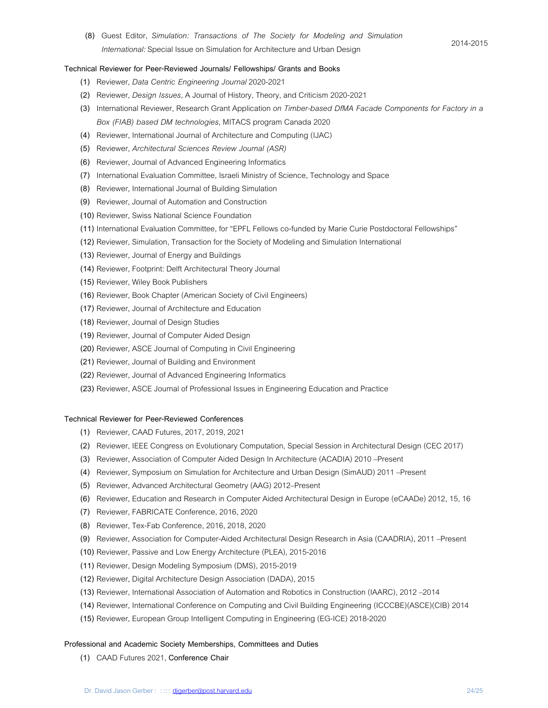**(8)** Guest Editor, *Simulation: Transactions of The Society for Modeling and Simulation International:* Special Issue on Simulation for Architecture and Urban Design

#### 2014-2015

## **Technical Reviewer for Peer-Reviewed Journals/ Fellowships/ Grants and Books**

- **(1)** Reviewer, *Data Centric Engineering Journal* 2020-2021
- **(2)** Reviewer, *Design Issues*, A Journal of History, Theory, and Criticism 2020-2021
- **(3)** International Reviewer, Research Grant Application *on Timber-based DfMA Facade Components for Factory in a Box (FIAB) based DM technologies*, MITACS program Canada 2020
- **(4)** Reviewer, International Journal of Architecture and Computing (IJAC)
- **(5)** Reviewer, *Architectural Sciences Review Journal (ASR)*
- **(6)** Reviewer, Journal of Advanced Engineering Informatics
- **(7)** International Evaluation Committee, Israeli Ministry of Science, Technology and Space
- **(8)** Reviewer, International Journal of Building Simulation
- **(9)** Reviewer, Journal of Automation and Construction
- **(10)** Reviewer, Swiss National Science Foundation
- **(11)** International Evaluation Committee, for "EPFL Fellows co-funded by Marie Curie Postdoctoral Fellowships"
- **(12)** Reviewer, Simulation, Transaction for the Society of Modeling and Simulation International
- **(13)** Reviewer, Journal of Energy and Buildings
- **(14)** Reviewer, Footprint: Delft Architectural Theory Journal
- **(15)** Reviewer, Wiley Book Publishers
- **(16)** Reviewer, Book Chapter (American Society of Civil Engineers)
- **(17)** Reviewer, Journal of Architecture and Education
- **(18)** Reviewer, Journal of Design Studies
- **(19)** Reviewer, Journal of Computer Aided Design
- **(20)** Reviewer, ASCE Journal of Computing in Civil Engineering
- **(21)** Reviewer, Journal of Building and Environment
- **(22)** Reviewer, Journal of Advanced Engineering Informatics
- **(23)** Reviewer, ASCE Journal of Professional Issues in Engineering Education and Practice

### **Technical Reviewer for Peer-Reviewed Conferences**

- **(1)** Reviewer, CAAD Futures, 2017, 2019, 2021
- **(2)** Reviewer, IEEE Congress on Evolutionary Computation, Special Session in Architectural Design (CEC 2017)
- **(3)** Reviewer, Association of Computer Aided Design In Architecture (ACADIA) 2010 –Present
- **(4)** Reviewer, Symposium on Simulation for Architecture and Urban Design (SimAUD) 2011 –Present
- **(5)** Reviewer, Advanced Architectural Geometry (AAG) 2012–Present
- **(6)** Reviewer, Education and Research in Computer Aided Architectural Design in Europe (eCAADe) 2012, 15, 16
- **(7)** Reviewer, FABRICATE Conference, 2016, 2020
- **(8)** Reviewer, Tex-Fab Conference, 2016, 2018, 2020
- **(9)** Reviewer, Association for Computer-Aided Architectural Design Research in Asia (CAADRIA), 2011 –Present
- **(10)** Reviewer, Passive and Low Energy Architecture (PLEA), 2015-2016
- **(11)** Reviewer, Design Modeling Symposium (DMS), 2015-2019
- **(12)** Reviewer, Digital Architecture Design Association (DADA), 2015
- **(13)** Reviewer, International Association of Automation and Robotics in Construction (IAARC), 2012 –2014
- **(14)** Reviewer, International Conference on Computing and Civil Building Engineering (ICCCBE)(ASCE)(CIB) 2014
- **(15)** Reviewer, European Group Intelligent Computing in Engineering (EG-ICE) 2018-2020

### **Professional and Academic Society Memberships, Committees and Duties**

**(1)** CAAD Futures 2021, **Conference Chair**